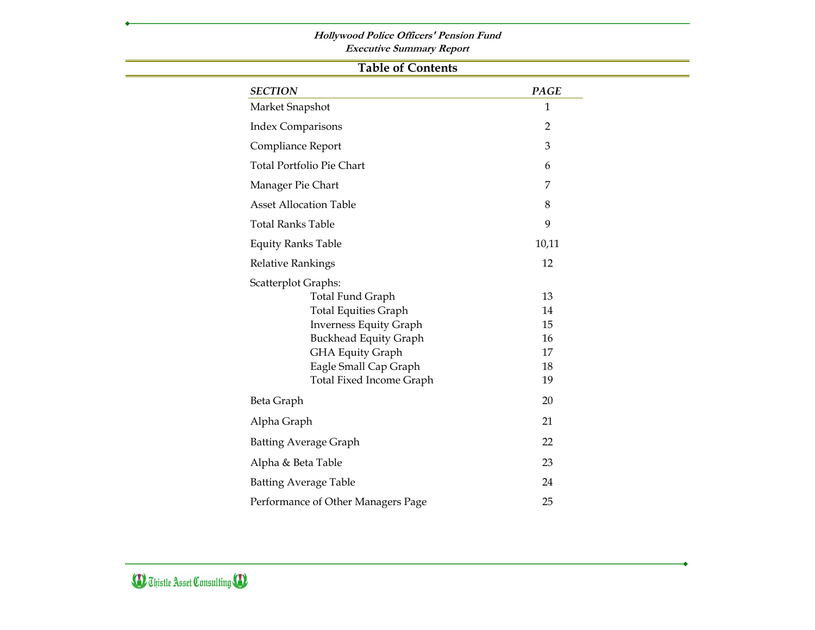### **Hollywood Police Officers' Pension Fund**

**Executive Summary Report**

 $\sim$ 

|                                    | <b>Table of Contents</b>              |
|------------------------------------|---------------------------------------|
| <b>SECTION</b>                     | <b>PAGE</b>                           |
| Market Snapshot                    | $\mathbf{1}$                          |
| <b>Index Comparisons</b>           | $\overline{2}$                        |
| Compliance Report                  | 3                                     |
| <b>Total Portfolio Pie Chart</b>   | 6                                     |
| Manager Pie Chart                  | 7                                     |
| <b>Asset Allocation Table</b>      | 8                                     |
| <b>Total Ranks Table</b>           | 9                                     |
| <b>Equity Ranks Table</b>          | 10,11                                 |
| <b>Relative Rankings</b>           | 12                                    |
| <b>Scatterplot Graphs:</b>         |                                       |
| <b>Total Fund Graph</b>            | 13                                    |
| <b>Total Equities Graph</b>        | 14                                    |
| <b>Inverness Equity Graph</b>      | 15                                    |
|                                    | <b>Buckhead Equity Graph</b><br>16    |
| <b>GHA Equity Graph</b>            | 17                                    |
| Eagle Small Cap Graph              | 18                                    |
|                                    | <b>Total Fixed Income Graph</b><br>19 |
| Beta Graph                         | 20                                    |
| Alpha Graph                        | 21                                    |
| <b>Batting Average Graph</b>       | 22                                    |
| Alpha & Beta Table                 | 23                                    |
| <b>Batting Average Table</b>       | 24                                    |
| Performance of Other Managers Page | 25                                    |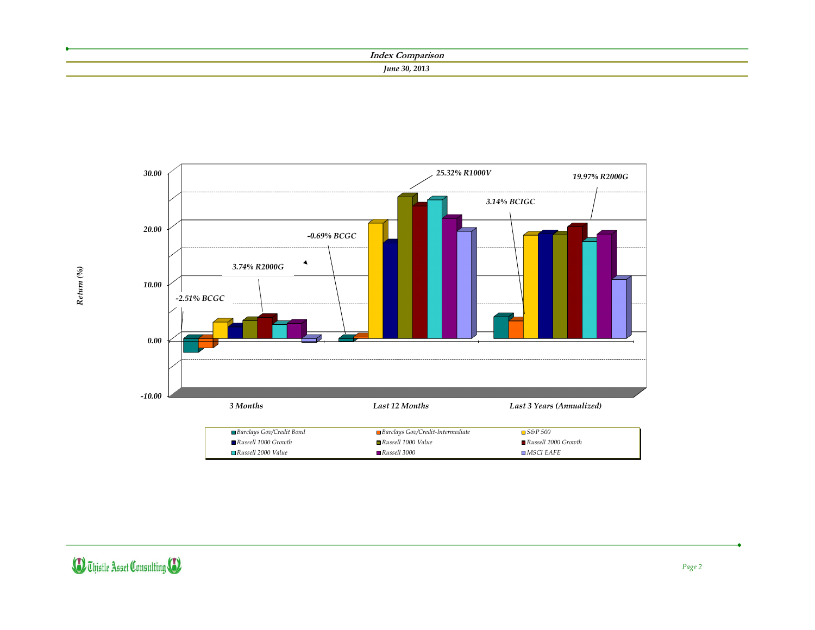| Inder                |
|----------------------|
| <b>June 30, 2013</b> |
|                      |



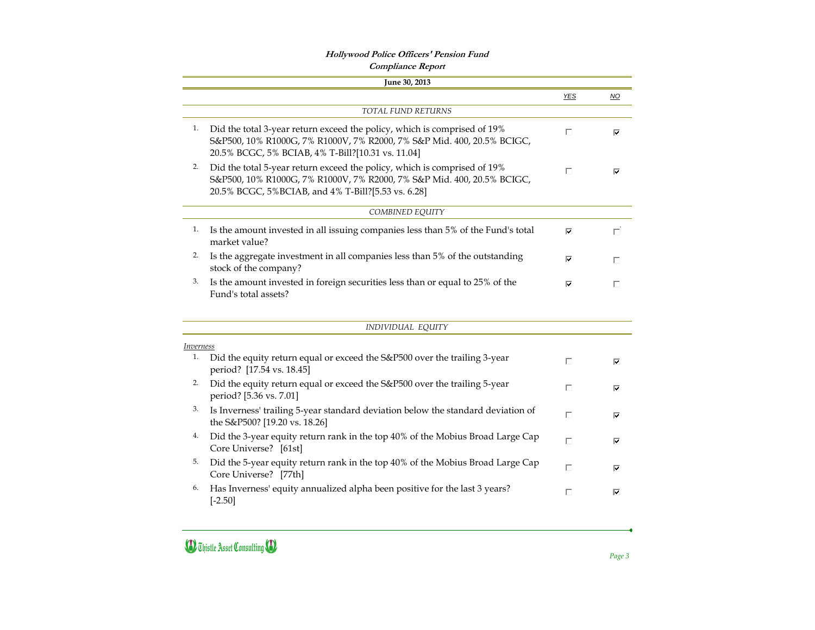*Page 3*

|    |                                                                                                                                                                                                          | <b>YES</b> | $\underline{\mathsf{NO}}$ |
|----|----------------------------------------------------------------------------------------------------------------------------------------------------------------------------------------------------------|------------|---------------------------|
|    | <b>TOTAL FUND RETURNS</b>                                                                                                                                                                                |            |                           |
| 1. | Did the total 3-year return exceed the policy, which is comprised of 19%<br>S&P500, 10% R1000G, 7% R1000V, 7% R2000, 7% S&P Mid. 400, 20.5% BCIGC,<br>20.5% BCGC, 5% BCIAB, 4% T-Bill?[10.31 vs. 11.04]  | П          | ⊽                         |
| 2. | Did the total 5-year return exceed the policy, which is comprised of 19%<br>S&P500, 10% R1000G, 7% R1000V, 7% R2000, 7% S&P Mid. 400, 20.5% BCIGC,<br>20.5% BCGC, 5%BCIAB, and 4% T-Bill?[5.53 vs. 6.28] | П          | ⊽                         |
|    | COMBINED EQUITY                                                                                                                                                                                          |            |                           |
| 1. | Is the amount invested in all issuing companies less than 5% of the Fund's total<br>market value?                                                                                                        | ⊽          | П                         |
| 2. | Is the aggregate investment in all companies less than 5% of the outstanding<br>stock of the company?                                                                                                    | ⊽          | П                         |
|    |                                                                                                                                                                                                          |            |                           |
| 3. | Is the amount invested in foreign securities less than or equal to 25% of the<br>Fund's total assets?                                                                                                    | ⊽          | П                         |
|    | INDIVIDUAL EQUITY                                                                                                                                                                                        |            |                           |
|    | <i>Inverness</i>                                                                                                                                                                                         |            |                           |
| 1. | Did the equity return equal or exceed the S&P500 over the trailing 3-year<br>period? [17.54 vs. 18.45]                                                                                                   | П          | ⊽                         |
| 2. | Did the equity return equal or exceed the S&P500 over the trailing 5-year<br>period? [5.36 vs. 7.01]                                                                                                     | П          | ⊽                         |
| 3. | Is Inverness' trailing 5-year standard deviation below the standard deviation of<br>the S&P500? [19.20 vs. 18.26]                                                                                        | $\Box$     | ⊽                         |
| 4. | Did the 3-year equity return rank in the top 40% of the Mobius Broad Large Cap<br>Core Universe? [61st]                                                                                                  | П          | ⊽                         |
| 5. | Did the 5-year equity return rank in the top 40% of the Mobius Broad Large Cap<br>Core Universe? [77th]                                                                                                  | П          | ⊽                         |

### **D** Thistle Asset Consulting **(D**

#### **Hollywood Police Officers' Pension Fund Compliance Report**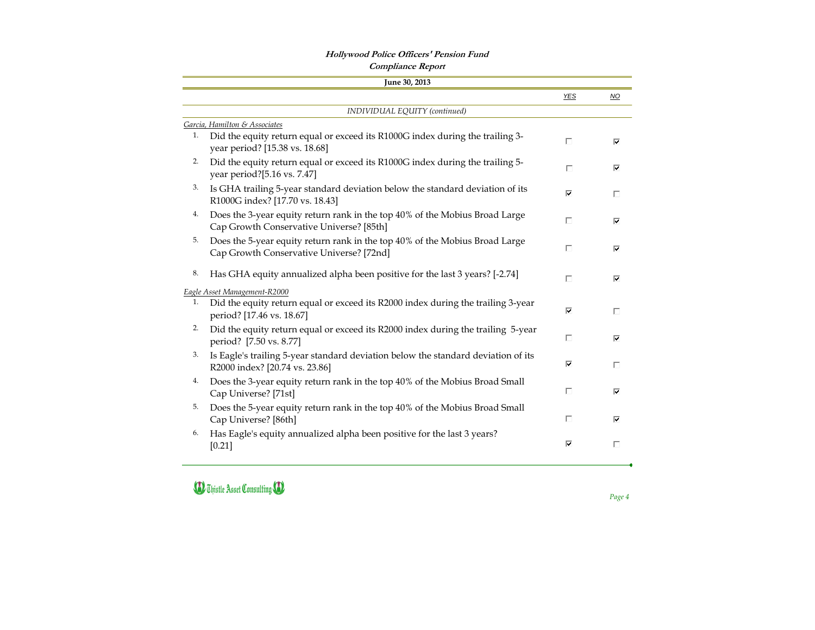### **Hollywood Police Officers' Pension Fund**

*Page 4*

|    | <b>Compliance Report</b>                                                                                                |            |                                 |
|----|-------------------------------------------------------------------------------------------------------------------------|------------|---------------------------------|
|    | June 30, 2013                                                                                                           |            |                                 |
|    |                                                                                                                         | <b>YES</b> | $\underline{\mathsf{NO}}$       |
|    | INDIVIDUAL EQUITY (continued)                                                                                           |            |                                 |
|    | Garcia, Hamilton & Associates                                                                                           |            |                                 |
| 1. | Did the equity return equal or exceed its R1000G index during the trailing 3-<br>year period? [15.38 vs. 18.68]         | П          | ⊽                               |
| 2. | Did the equity return equal or exceed its R1000G index during the trailing 5-<br>year period?[5.16 vs. 7.47]            | П          | ⊽                               |
| 3. | Is GHA trailing 5-year standard deviation below the standard deviation of its<br>R1000G index? [17.70 vs. 18.43]        | ⊽          | $\Box$                          |
| 4. | Does the 3-year equity return rank in the top 40% of the Mobius Broad Large<br>Cap Growth Conservative Universe? [85th] | П          | $\overline{\blacktriangledown}$ |
| 5. | Does the 5-year equity return rank in the top 40% of the Mobius Broad Large<br>Cap Growth Conservative Universe? [72nd] | П          | ⊽                               |
| 8. | Has GHA equity annualized alpha been positive for the last 3 years? [-2.74]                                             | П          | ⊽                               |
|    | Eagle Asset Management-R2000                                                                                            |            |                                 |
| 1. | Did the equity return equal or exceed its R2000 index during the trailing 3-year<br>period? [17.46 vs. 18.67]           | ⊽          | П                               |
| 2. | Did the equity return equal or exceed its R2000 index during the trailing 5-year<br>period? [7.50 vs. 8.77]             | П          | ⊽                               |
| 3. | Is Eagle's trailing 5-year standard deviation below the standard deviation of its<br>R2000 index? [20.74 vs. 23.86]     | ⊽          | П                               |
| 4. | Does the 3-year equity return rank in the top 40% of the Mobius Broad Small<br>Cap Universe? [71st]                     | П          | ⊽                               |
| 5. | Does the 5-year equity return rank in the top 40% of the Mobius Broad Small<br>Cap Universe? [86th]                     | П          | ⊽                               |
| 6. | Has Eagle's equity annualized alpha been positive for the last 3 years?<br>$[0.21]$                                     | ⊽          | $\Box$                          |

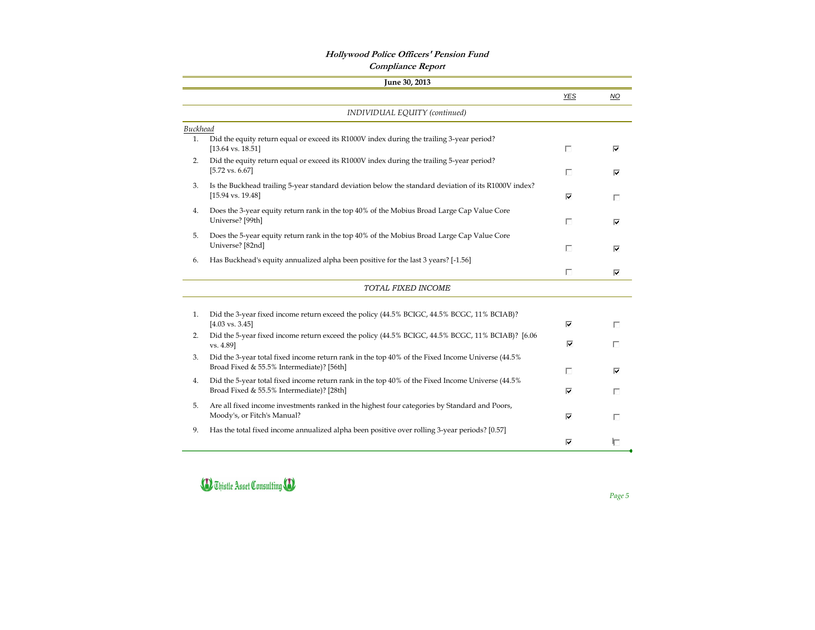#### **Hollywood Police Officers' Pension Fund Compliance Report**

*Page 5*

|                 | June 30, 2013                                                                                                                                 |        |                           |
|-----------------|-----------------------------------------------------------------------------------------------------------------------------------------------|--------|---------------------------|
|                 |                                                                                                                                               | $YES$  | $\underline{\mathsf{NO}}$ |
|                 | INDIVIDUAL EQUITY (continued)                                                                                                                 |        |                           |
| <b>Buckhead</b> |                                                                                                                                               |        |                           |
| 1.              | Did the equity return equal or exceed its R1000V index during the trailing 3-year period?<br>$[13.64 \text{ vs. } 18.51]$                     | П      | ⊽                         |
| 2.              | Did the equity return equal or exceed its R1000V index during the trailing 5-year period?<br>$[5.72 \text{ vs. } 6.67]$                       | П      | ⊽                         |
| 3.              | Is the Buckhead trailing 5-year standard deviation below the standard deviation of its R1000V index?<br>$[15.94 \text{ vs. } 19.48]$          | ⊽      | П                         |
| 4.              | Does the 3-year equity return rank in the top 40% of the Mobius Broad Large Cap Value Core<br>Universe? [99th]                                | П      | ⊽                         |
| 5.              | Does the 5-year equity return rank in the top 40% of the Mobius Broad Large Cap Value Core<br>Universe? [82nd]                                | П      |                           |
| 6.              | Has Buckhead's equity annualized alpha been positive for the last 3 years? [-1.56]                                                            |        | ⊽                         |
|                 | TOTAL FIXED INCOME                                                                                                                            | $\Box$ | ⊽                         |
|                 |                                                                                                                                               |        |                           |
| 1.              | Did the 3-year fixed income return exceed the policy (44.5% BCIGC, 44.5% BCGC, 11% BCIAB)?<br>$[4.03 \text{ vs. } 3.45]$                      | ⊽      | П                         |
| 2.              | Did the 5-year fixed income return exceed the policy (44.5% BCIGC, 44.5% BCGC, 11% BCIAB)? [6.06<br>vs. 4.89]                                 | ⊽      | П                         |
| 3.              | Did the 3-year total fixed income return rank in the top 40% of the Fixed Income Universe (44.5%<br>Broad Fixed & 55.5% Intermediate)? [56th] | П      | ⊽                         |
| 4.              | Did the 5-year total fixed income return rank in the top 40% of the Fixed Income Universe (44.5%<br>Broad Fixed & 55.5% Intermediate)? [28th] | ⊽      | П                         |
| 5.              | Are all fixed income investments ranked in the highest four categories by Standard and Poors,<br>Moody's, or Fitch's Manual?                  | ⊽      | П                         |
| 9.              | Has the total fixed income annualized alpha been positive over rolling 3-year periods? [0.57]                                                 |        |                           |
|                 |                                                                                                                                               | ⊽      | Л                         |

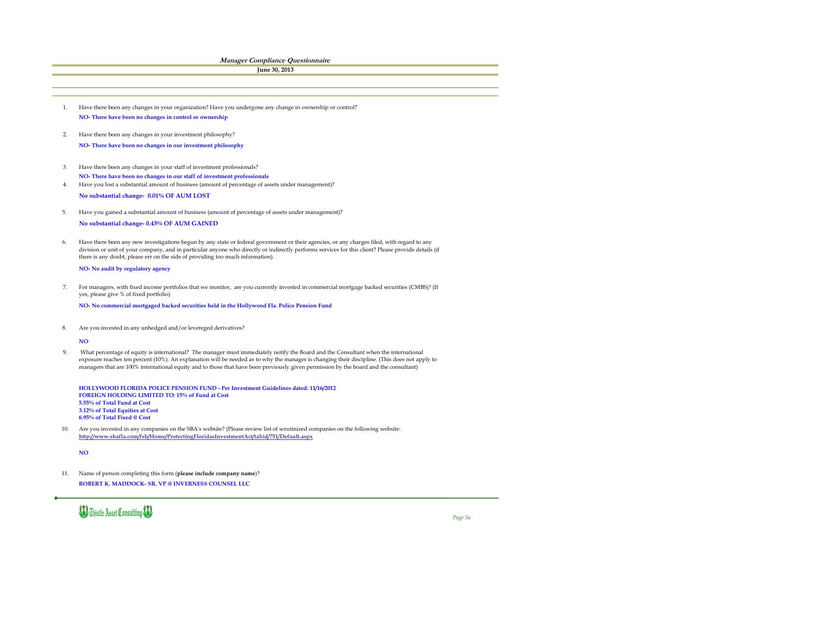**NO- No audit by regulatory agency**

**NO- No commercial mortgaged backed securities held in the Hollywood Fla. Police Pension Fund**

**NO**

**HOLLYWOOD FLORIDA POLICE PENSION FUND - Per Investment Guidelines dated: 11/16/2012 FOREIGN HOLDING LIMITED TO: 15% of Fund at Cost 5.55% of Total Fund at Cost 3.12% of Total Equities at Cost 6.95% of Total Fixed @ Cost**

8. Are you invested in any unhedged and/or levereged derivatives?

**NO**

11. Name of person completing this form (**please include company name**)? **ROBERT K. MADDOCK- SR. VP @ INVERNESS COUNSEL LLC**



*Page 5a*

9. What percentage of equity is international? The manager must immediately notify the Board and the Consultant when the international exposure reaches ten percent (10%). An explanation will be needed as to why the manager is changing their discipline. (This does not apply to managers that are 100% international equity and to those that have been previously given permission by the board and the consultant)

10. Are you invested in any companies on the SBA's website? (Please review list of scrutinized companies on the following website: **http://www.sbafla.com/fsb/Home/ProtectingFloridasInvestmentAct/tabid/751/Default.aspx**

- 1. Have there been any changes in your organization? Have you undergone any change in ownership or control? **NO- There have been no changes in control or ownership**
- 2. **NO- There have been no changes in our investment philosophy** Have there been any changes in your investment philosophy?
- 3. **NO- There have been no changes in our staff of investment professionals** Have there been any changes in your staff of investment professionals?
- 4. **No substantial change- 0.01% OF AUM LOST** Have you lost a substantial amount of business (amount of percentage of assets under management)?
- 5. **No substantial change- 0.43% OF AUM GAINED** Have you gained a substantial amount of business (amount of percentage of assets under management)?
- 6. Have there been any new investigations begun by any state or federal government or their agencies, or any charges filed, with regard to any division or unit of your company, and in particular anyone who directly or indirectly performs services for this client? Please provide details (if there is any doubt, please err on the side of providing too much information).

#### **Manager Compliance Questionnaire**

**June 30, 2013**

7. For managers, with fixed income portfolios that we monitor, are you currently invested in commercial mortgage backed securities (CMBS)? (If yes, please give % of fixed portfolio)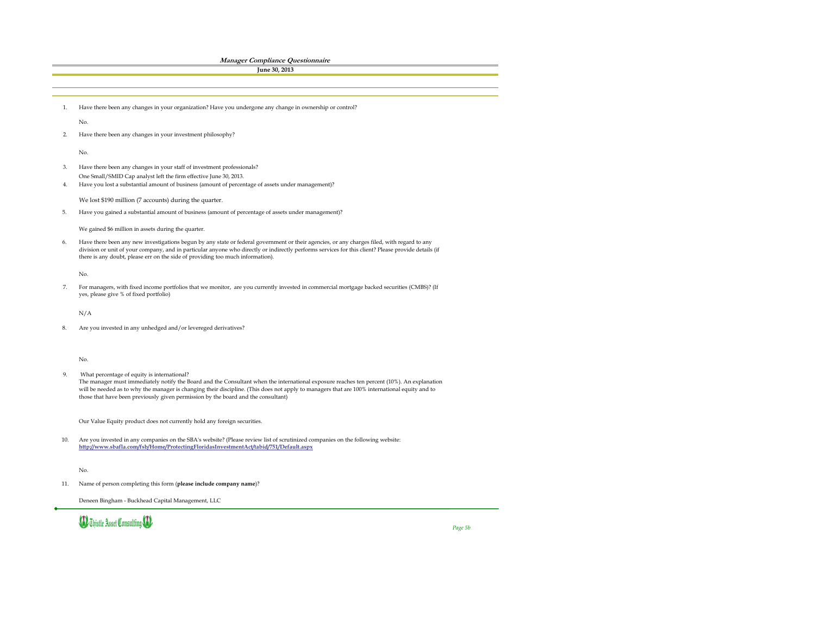We gained \$6 million in assets during the quarter.

No.

N/A

No.

Our Value Equity product does not currently hold any foreign securities.

No.

٠

8. Are you invested in any unhedged and/or levereged derivatives?

Deneen Bingham - Buckhead Capital Management, LLC



9. What percentage of equity is international?

*Page 5b*

The manager must immediately notify the Board and the Consultant when the international exposure reaches ten percent (10%). An explanation will be needed as to why the manager is changing their discipline. (This does not apply to managers that are 100% international equity and to those that have been previously given permission by the board and the consultant)

10. Are you invested in any companies on the SBA's website? (Please review list of scrutinized companies on the following website: **http://www.sbafla.com/fsb/Home/ProtectingFloridasInvestmentAct/tabid/751/Default.aspx**

11. Name of person completing this form (**please include company name**)?

6. Have there been any new investigations begun by any state or federal government or their agencies, or any charges filed, with regard to any division or unit of your company, and in particular anyone who directly or indirectly performs services for this client? Please provide details (if there is any doubt, please err on the side of providing too much information).

7. For managers, with fixed income portfolios that we monitor, are you currently invested in commercial mortgage backed securities (CMBS)? (If yes, please give % of fixed portfolio)

|    | <i>Managel Comphance Questionnane</i>                                                                    |
|----|----------------------------------------------------------------------------------------------------------|
|    | June 30, 2013                                                                                            |
|    |                                                                                                          |
|    |                                                                                                          |
|    |                                                                                                          |
|    |                                                                                                          |
|    | Have there been any changes in your organization? Have you undergone any change in ownership or control? |
|    | No.                                                                                                      |
|    |                                                                                                          |
| 2. | Have there been any changes in your investment philosophy?                                               |
|    |                                                                                                          |
|    | No.                                                                                                      |
|    |                                                                                                          |
| 3. | Have there been any changes in your staff of investment professionals?                                   |
|    | One Small/SMID Cap analyst left the firm effective June 30, 2013.                                        |
| 4. | Have you lost a substantial amount of business (amount of percentage of assets under management)?        |
|    |                                                                                                          |
|    | We lost \$190 million (7 accounts) during the quarter.                                                   |
| 5. | Have you gained a substantial amount of business (amount of percentage of assets under management)?      |
|    |                                                                                                          |
|    |                                                                                                          |

#### **Manager Compliance Questionnaire**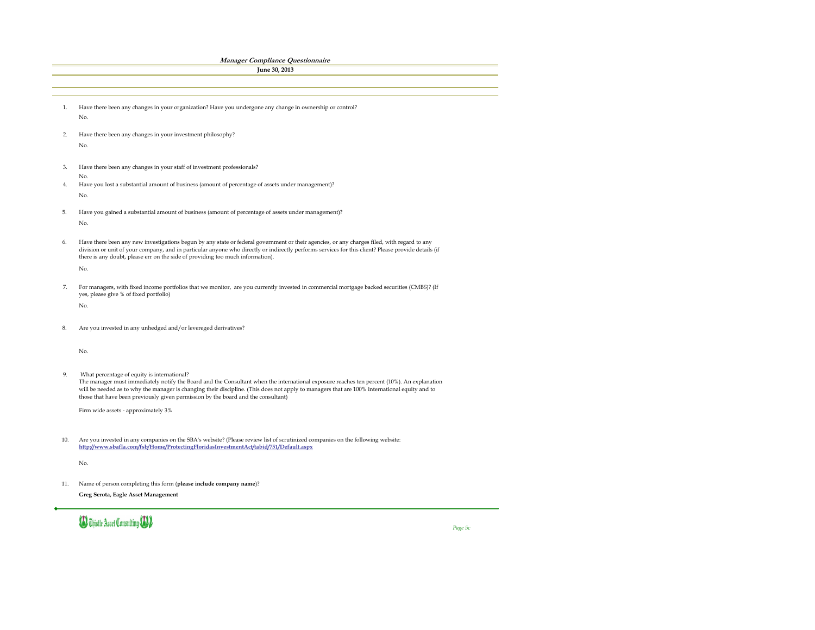11. Name of person completing this form (**please include company name**)? **Greg Serota, Eagle Asset Management**



 $\leftarrow$ 

*Page 5c*

|     | <b>Manager Compliance Questionnaire</b>                                                                                                                                                                                                                                                            |
|-----|----------------------------------------------------------------------------------------------------------------------------------------------------------------------------------------------------------------------------------------------------------------------------------------------------|
|     | June 30, 2013                                                                                                                                                                                                                                                                                      |
|     |                                                                                                                                                                                                                                                                                                    |
|     |                                                                                                                                                                                                                                                                                                    |
|     |                                                                                                                                                                                                                                                                                                    |
| 1.  | Have there been any changes in your organization? Have you undergone any change in ownership or control?                                                                                                                                                                                           |
|     | No.                                                                                                                                                                                                                                                                                                |
|     |                                                                                                                                                                                                                                                                                                    |
| 2.  | Have there been any changes in your investment philosophy?                                                                                                                                                                                                                                         |
|     | No.                                                                                                                                                                                                                                                                                                |
|     |                                                                                                                                                                                                                                                                                                    |
| 3.  | Have there been any changes in your staff of investment professionals?                                                                                                                                                                                                                             |
|     | No.                                                                                                                                                                                                                                                                                                |
| 4.  | Have you lost a substantial amount of business (amount of percentage of assets under management)?                                                                                                                                                                                                  |
|     | No.                                                                                                                                                                                                                                                                                                |
|     |                                                                                                                                                                                                                                                                                                    |
| 5.  | Have you gained a substantial amount of business (amount of percentage of assets under management)?                                                                                                                                                                                                |
|     | No.                                                                                                                                                                                                                                                                                                |
|     |                                                                                                                                                                                                                                                                                                    |
| 6.  | Have there been any new investigations begun by any state or federal government or their agencies, or any charges filed, with regard to any<br>division or unit of your company, and in particular anyone who directly or indirectly performs services for this client? Please provide details (if |
|     | there is any doubt, please err on the side of providing too much information).                                                                                                                                                                                                                     |
|     | No.                                                                                                                                                                                                                                                                                                |
|     |                                                                                                                                                                                                                                                                                                    |
|     | For managers, with fixed income portfolios that we monitor, are you currently invested in commercial mortgage backed securities (CMBS)? (If                                                                                                                                                        |
|     | yes, please give % of fixed portfolio)                                                                                                                                                                                                                                                             |
|     | No.                                                                                                                                                                                                                                                                                                |
|     |                                                                                                                                                                                                                                                                                                    |
| 8.  | Are you invested in any unhedged and/or levereged derivatives?                                                                                                                                                                                                                                     |
|     |                                                                                                                                                                                                                                                                                                    |
|     |                                                                                                                                                                                                                                                                                                    |
|     | No.                                                                                                                                                                                                                                                                                                |
|     |                                                                                                                                                                                                                                                                                                    |
| 9.  | What percentage of equity is international?                                                                                                                                                                                                                                                        |
|     | The manager must immediately notify the Board and the Consultant when the international exposure reaches ten percent (10%). An explanation                                                                                                                                                         |
|     | will be needed as to why the manager is changing their discipline. (This does not apply to managers that are 100% international equity and to<br>those that have been previously given permission by the board and the consultant)                                                                 |
|     |                                                                                                                                                                                                                                                                                                    |
|     | Firm wide assets - approximately 3%                                                                                                                                                                                                                                                                |
|     |                                                                                                                                                                                                                                                                                                    |
|     |                                                                                                                                                                                                                                                                                                    |
| 10. | Are you invested in any companies on the SBA's website? (Please review list of scrutinized companies on the following website:<br>http://www.sbafla.com/fsb/Home/ProtectingFloridasInvestmentAct/tabid/751/Default.aspx                                                                            |
|     |                                                                                                                                                                                                                                                                                                    |
|     | No.                                                                                                                                                                                                                                                                                                |
|     |                                                                                                                                                                                                                                                                                                    |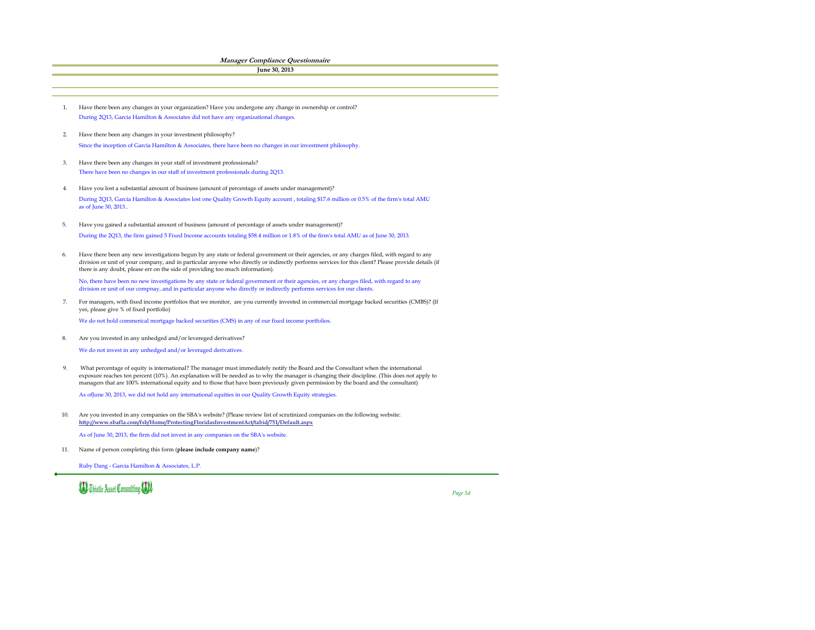No, there have been no new investigations by any state or federal government or their agencies, or any charges filed, with regard to any division or unit of our compnay, and in particular anyone who directly or indirectly performs services for our clients.

We do not hold commerical mortgage backed securities (CMS) in any of our fixed income portfolios.

As ofJune 30, 2013, we did not hold any international equities in our Quality Growth Equity strategies.

8. Are you invested in any unhedged and/or levereged derivatives?

We do not invest in any unhedged and/or leveraged derivatives.

As of June 30, 2013, the firm did not invest in any companies on the SBA's website.

Ruby Dang - Garcia Hamilton & Associates, L.P.



*Page 5d*

- 1. Have there been any changes in your organization? Have you undergone any change in ownership or control?During 2Q13, Garcia Hamilton & Associates did not have any organizational changes.
- 2. Since the inception of Garcia Hamilton & Associates, there have been no changes in our investment philosophy. Have there been any changes in your investment philosophy?
- 3. There have been no changes in our staff of investment professionals during 2Q13. Have there been any changes in your staff of investment professionals?
- 4. Have you lost a substantial amount of business (amount of percentage of assets under management)? During 2Q13, Garcia Hamilton & Associates lost one Quality Growth Equity account , totaling \$17.6 million or 0.5% of the firm's total AMU as of June 30, 2013..
- 5. During the 2Q13, the firm gained 5 Fixed Income accounts totaling \$58.4 million or 1.8% of the firm's total AMU as of June 30, 2013. Have you gained a substantial amount of business (amount of percentage of assets under management)?
- 6. Have there been any new investigations begun by any state or federal government or their agencies, or any charges filed, with regard to any division or unit of your company, and in particular anyone who directly or indirectly performs services for this client? Please provide details (if there is any doubt, please err on the side of providing too much information).

9. What percentage of equity is international? The manager must immediately notify the Board and the Consultant when the international exposure reaches ten percent (10%). An explanation will be needed as to why the manager is changing their discipline. (This does not apply to managers that are 100% international equity and to those that have been previously given permission by the board and the consultant)

10. Are you invested in any companies on the SBA's website? (Please review list of scrutinized companies on the following website: **http://www.sbafla.com/fsb/Home/ProtectingFloridasInvestmentAct/tabid/751/Default.aspx**

11. Name of person completing this form (**please include company name**)?

7. For managers, with fixed income portfolios that we monitor, are you currently invested in commercial mortgage backed securities (CMBS)? (If yes, please give % of fixed portfolio)

**Manager Compliance Questionnaire**

```
June 30, 2013
```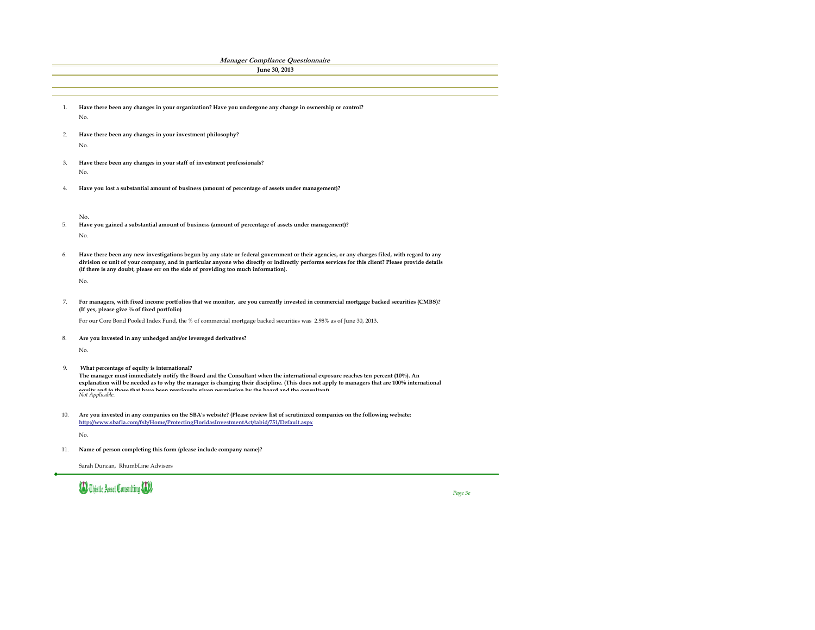No.

No.

For our Core Bond Pooled Index Fund, the % of commercial mortgage backed securities was 2.98% as of June 30, 2013.

No.

Sarah Duncan, RhumbLine Advisers



8. **Are you invested in any unhedged and/or levereged derivatives?**

*Page 5e*

9.  **What percentage of equity is international?** 

*Not Applicable.*  **The manager must immediately notify the Board and the Consultant when the international exposure reaches ten percent (10%). An explanation will be needed as to why the manager is changing their discipline. (This does not apply to managers that are 100% international equity and to those that have been previously given permission by the board and the consultant)** 

- 10. No. **Are you invested in any companies on the SBA's website? (Please review list of scrutinized companies on the following website: http://www.sbafla.com/fsb/Home/ProtectingFloridasInvestmentAct/tabid/751/Default.aspx**
- 11. **Name of person completing this form (please include company name)?**
- 2. No. **Have there been any changes in your investment philosophy?**
- 3. No. **Have there been any changes in your staff of investment professionals?**
- 4. **Have you lost a substantial amount of business (amount of percentage of assets under management)?**

- 5. No. **Have you gained a substantial amount of business (amount of percentage of assets under management)?**
- 6. **Have there been any new investigations begun by any state or federal government or their agencies, or any charges filed, with regard to any division or unit of your company, and in particular anyone who directly or indirectly performs services for this client? Please provide details (if there is any doubt, please err on the side of providing too much information).**

| <b>Manager Compliance Questionnaire</b>                                                                  |
|----------------------------------------------------------------------------------------------------------|
| June 30, 2013                                                                                            |
|                                                                                                          |
|                                                                                                          |
|                                                                                                          |
| Have there been any changes in your organization? Have you undergone any change in ownership or control? |
| No.                                                                                                      |
|                                                                                                          |

7. **For managers, with fixed income portfolios that we monitor, are you currently invested in commercial mortgage backed securities (CMBS)? (If yes, please give % of fixed portfolio)**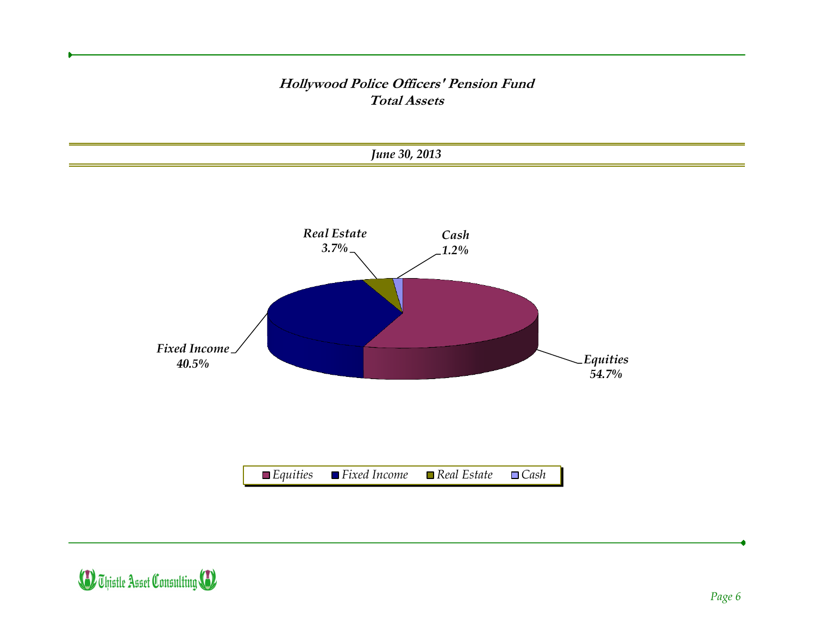#### **Hollywood Police Officers' Pension Fund Total Assets**



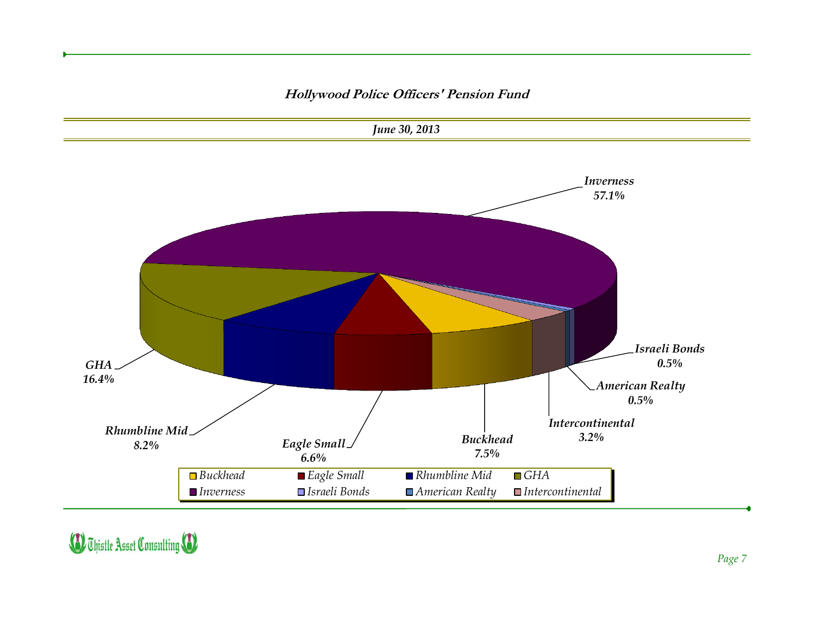#### **Hollywood Police Officers' Pension Fund**



**D** Thistle Asset Consulting **(D**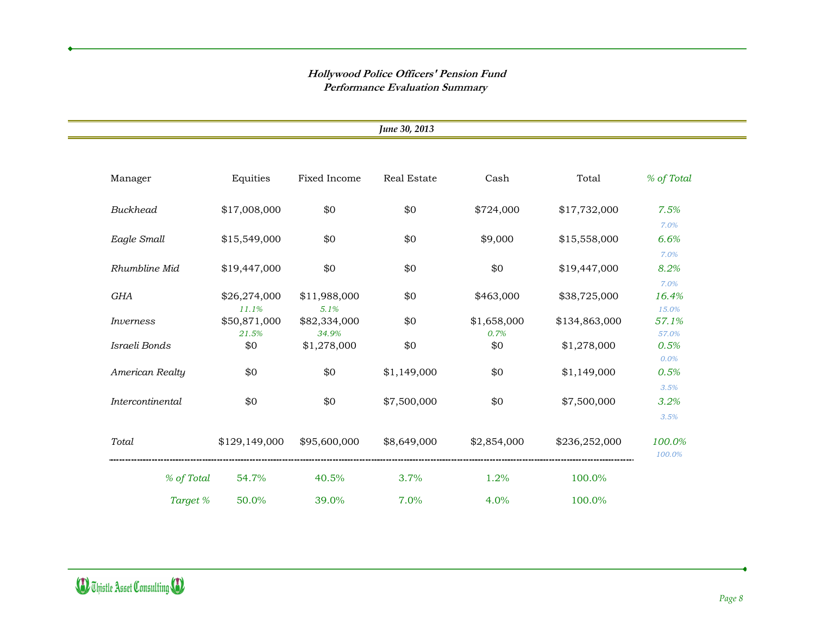#### **Hollywood Police Officers' Pension Fund Performance Evaluation Summary**

|                  |                       |                       | June 30, 2013      |                     |               |                        |
|------------------|-----------------------|-----------------------|--------------------|---------------------|---------------|------------------------|
| Manager          | Equities              | Fixed Income          | <b>Real Estate</b> | Cash                | Total         | % of Total             |
| <b>Buckhead</b>  | \$17,008,000          | \$0                   | \$0                | \$724,000           | \$17,732,000  | 7.5%                   |
| Eagle Small      | \$15,549,000          | \$0                   | \$0                | \$9,000             | \$15,558,000  | 7.0%<br>6.6%           |
| Rhumbline Mid    | \$19,447,000          | \$0                   | \$0                | \$0                 | \$19,447,000  | 7.0%<br>8.2%           |
| GHA              | \$26,274,000<br>11.1% | \$11,988,000<br>5.1%  | \$0                | \$463,000           | \$38,725,000  | 7.0%<br>16.4%<br>15.0% |
| Inverness        | \$50,871,000<br>21.5% | \$82,334,000<br>34.9% | \$0                | \$1,658,000<br>0.7% | \$134,863,000 | 57.1%<br>57.0%         |
| Israeli Bonds    | \$0                   | \$1,278,000           | \$0                | \$0                 | \$1,278,000   | 0.5%<br>0.0%           |
| American Realty  | \$0                   | \$0                   | \$1,149,000        | \$0                 | \$1,149,000   | 0.5%<br>3.5%           |
| Intercontinental | \$0                   | \$0                   | \$7,500,000        | \$0                 | \$7,500,000   | 3.2%<br>3.5%           |
| Total            | \$129,149,000         | \$95,600,000          | \$8,649,000        | \$2,854,000         | \$236,252,000 | 100.0%<br>100.0%       |
| % of Total       | 54.7%                 | 40.5%                 | 3.7%               | 1.2%                | 100.0%        |                        |
| Target %         | 50.0%                 | 39.0%                 | 7.0%               | 4.0%                | 100.0%        |                        |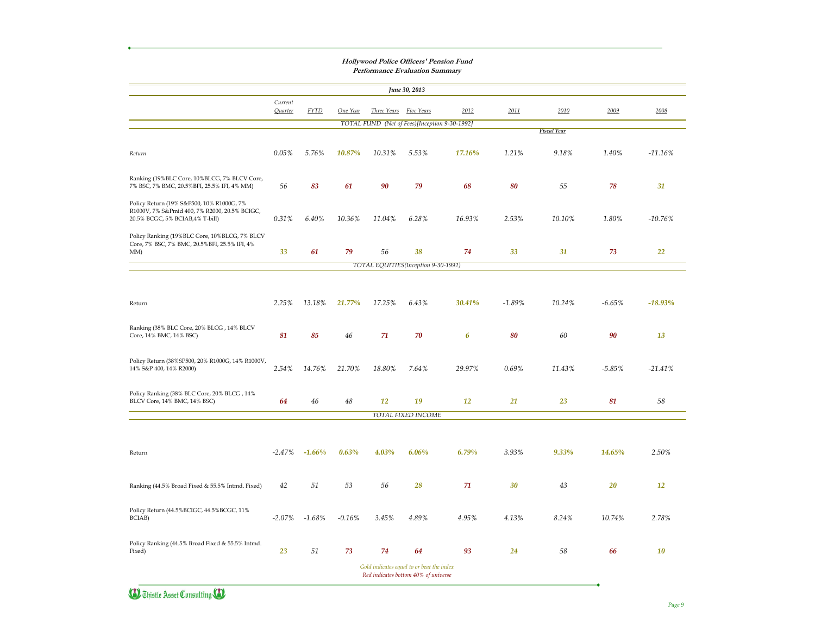| 2012<br>TOTAL FUND (Net of Fees)[Inception 9-30-1992]<br>17.16%<br>68<br>16.93%<br>74<br>TOTAL EQUITIES (Inception 9-30-1992) | 2011<br>1.21%<br>80<br>$2.53\%$<br>33 | 2010<br><b>Fiscal Year</b><br>9.18%<br>55<br>10.10%<br>31 | 2009<br>$1.40\%$<br>78<br>1.80% | 2008<br>$-11.16\%$<br>31<br>$-10.76\%$ |
|-------------------------------------------------------------------------------------------------------------------------------|---------------------------------------|-----------------------------------------------------------|---------------------------------|----------------------------------------|
|                                                                                                                               |                                       |                                                           |                                 |                                        |
|                                                                                                                               |                                       |                                                           |                                 |                                        |
|                                                                                                                               |                                       |                                                           |                                 |                                        |
|                                                                                                                               |                                       |                                                           |                                 |                                        |
|                                                                                                                               |                                       |                                                           |                                 |                                        |
|                                                                                                                               |                                       |                                                           |                                 |                                        |
|                                                                                                                               |                                       |                                                           | 73                              | 22                                     |
|                                                                                                                               |                                       |                                                           |                                 |                                        |
|                                                                                                                               |                                       |                                                           |                                 |                                        |
| <b>30.41%</b>                                                                                                                 | $-1.89\%$                             | 10.24%                                                    | $-6.65\%$                       | $-18.93\%$                             |
| 6                                                                                                                             | 80                                    | 60                                                        | 90                              | 13                                     |
| 29.97%                                                                                                                        | $0.69\%$                              | 11.43%                                                    | $-5.85%$                        | $-21.41\%$                             |
| <b>12</b>                                                                                                                     | 21                                    | 23                                                        | 81                              | 58                                     |
|                                                                                                                               |                                       |                                                           |                                 |                                        |
| $6.79\%$                                                                                                                      | 3.93%                                 | 9.33%                                                     | <b>14.65%</b>                   | 2.50%                                  |
| 71                                                                                                                            | 30                                    | 43                                                        | 20                              | 12                                     |
| $4.95\%$                                                                                                                      | 4.13%                                 | 8.24%                                                     | 10.74%                          | 2.78%                                  |
|                                                                                                                               | 24                                    | 58                                                        | 66                              | 10                                     |
|                                                                                                                               | 93                                    | Gold indicates equal to or beat the index                 |                                 | Red indicates bottom 40% of universe   |



**Hollywood Police Officers' Pension Fund Performance Evaluation Summary**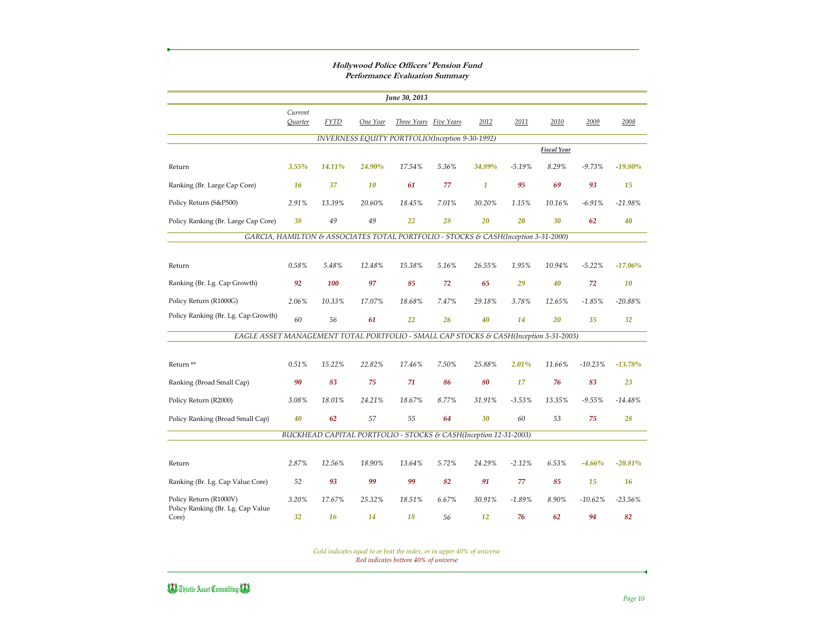|                                                                                       |                    |             |          | June 30, 2013                                                                      |       |                  |           |                    |           |            |
|---------------------------------------------------------------------------------------|--------------------|-------------|----------|------------------------------------------------------------------------------------|-------|------------------|-----------|--------------------|-----------|------------|
|                                                                                       | Current<br>Quarter | <b>FYTD</b> | One Year | Three Years Five Years                                                             |       | 2012             | 2011      | 2010               | 2009      | 2008       |
|                                                                                       |                    |             |          | INVERNESS EQUITY PORTFOLIO(Inception 9-30-1992)                                    |       |                  |           |                    |           |            |
|                                                                                       |                    |             |          |                                                                                    |       |                  |           | <b>Fiscal Year</b> |           |            |
| Return                                                                                | 3.55%              | 14.11%      | 24.90%   | 17.54%                                                                             | 5.36% | 34.89%           | $-5.19%$  | 8.29%              | $-9.73%$  | $-19.80%$  |
| Ranking (Br. Large Cap Core)                                                          | <b>16</b>          | 37          | 10       | 61                                                                                 | 77    | $\boldsymbol{1}$ | 95        | 69                 | 93        | 15         |
| Policy Return (S&P500)                                                                | 2.91%              | 13.39%      | 20.60%   | 18.45%                                                                             | 7.01% | 30.20%           | 1.15%     | 10.16%             | $-6.91%$  | $-21.98%$  |
| Policy Ranking (Br. Large Cap Core)                                                   | 38                 | 49          | 49       | 22                                                                                 | 28    | 20               | 20        | 30                 | 62        | 40         |
|                                                                                       |                    |             |          | GARCIA, HAMILTON & ASSOCIATES TOTAL PORTFOLIO - STOCKS & CASH(Inception 3-31-2000) |       |                  |           |                    |           |            |
|                                                                                       |                    |             |          |                                                                                    |       |                  |           |                    |           |            |
| Return                                                                                | 0.58%              | 5.48%       | 12.48%   | 15.38%                                                                             | 5.16% | 26.55%           | 1.95%     | 10.94%             | $-5.22%$  | $-17.06%$  |
| Ranking (Br. Lg. Cap Growth)                                                          | 92                 | 100         | 97       | 85                                                                                 | 72    | 65               | 29        | 40                 | 72        | 10         |
| Policy Return (R1000G)                                                                | 2.06%              | 10.33%      | 17.07%   | 18.68%                                                                             | 7.47% | 29.18%           | 3.78%     | 12.65%             | $-1.85%$  | $-20.88%$  |
| Policy Ranking (Br. Lg. Cap Growth)                                                   | 60                 | 56          | 61       | 22                                                                                 | 26    | 40               | 14        | 20                 | 35        | 32         |
| EAGLE ASSET MANAGEMENT TOTAL PORTFOLIO - SMALL CAP STOCKS & CASH(Inception 3-31-2003) |                    |             |          |                                                                                    |       |                  |           |                    |           |            |
|                                                                                       |                    |             |          |                                                                                    |       |                  |           |                    |           |            |
| Return **                                                                             | 0.51%              | 15.22%      | 22.82%   | 17.46%                                                                             | 7.50% | 25.88%           | 2.01%     | 11.66%             | $-10.23%$ | $-13.78%$  |
| Ranking (Broad Small Cap)                                                             | 90                 | 83          | 75       | 71                                                                                 | 86    | 80               | 17        | 76                 | 83        | 23         |
| Policy Return (R2000)                                                                 | 3.08%              | 18.01%      | 24.21%   | 18.67%                                                                             | 8.77% | 31.91%           | $-3.53\%$ | 13.35%             | $-9.55%$  | $-14.48%$  |
| Policy Ranking (Broad Small Cap)                                                      | 40                 | 62          | 57       | 55                                                                                 | 64    | 30               | 60        | 53                 | 75        | 28         |
|                                                                                       |                    |             |          | BUCKHEAD CAPITAL PORTFOLIO - STOCKS & CASH(Inception 12-31-2003)                   |       |                  |           |                    |           |            |
|                                                                                       |                    |             |          |                                                                                    |       |                  |           |                    |           |            |
| Return                                                                                | 2.87%              | 12.56%      | 18.90%   | 13.64%                                                                             | 5.72% | 24.29%           | $-2.12%$  | 6.53%              | $-4.66%$  | $-20.81%$  |
| Ranking (Br. Lg. Cap Value Core)                                                      | 52                 | 93          | 99       | 99                                                                                 | 82    | 91               | 77        | 85                 | 15        | <b>16</b>  |
| Policy Return (R1000V)                                                                | 3.20%              | 17.67%      | 25.32%   | 18.51%                                                                             | 6.67% | 30.91%           | $-1.89%$  | 8.90%              | $-10.62%$ | $-23.56\%$ |
| Policy Ranking (Br. Lg. Cap Value<br>Core)                                            | 32                 | <b>16</b>   | 14       | 18                                                                                 | 56    | 12               | 76        | 62                 | 94        | 82         |

#### **Hollywood Police Officers' Pension Fund Performance Evaluation Summary**

*Red indicates bottom 40% of universe Gold indicates equal to or beat the index, or in upper 40% of universe*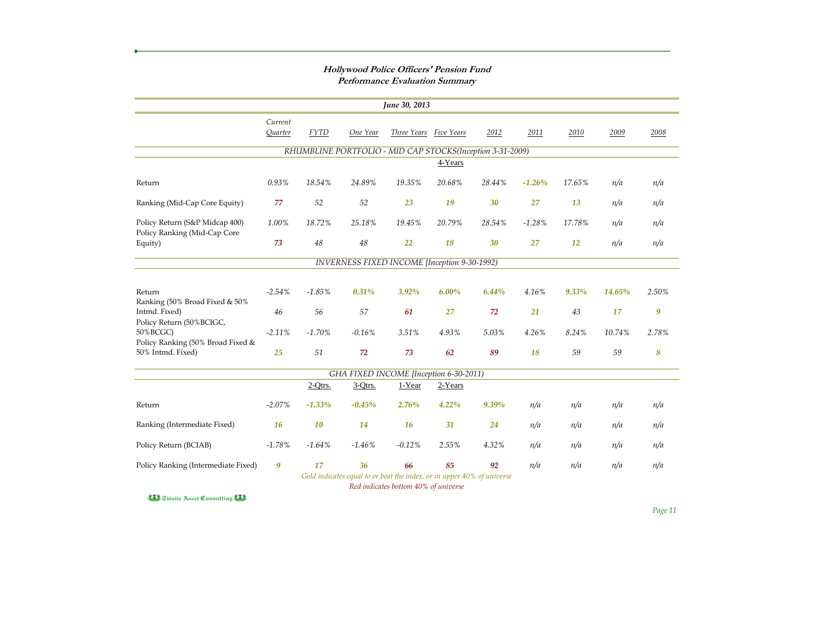|                                                                |                    |             |            | June 30, 2013                                                                                                  |            |        |          |           |        |                  |
|----------------------------------------------------------------|--------------------|-------------|------------|----------------------------------------------------------------------------------------------------------------|------------|--------|----------|-----------|--------|------------------|
|                                                                | Current<br>Quarter | <b>FYTD</b> | One Year   | Three Years                                                                                                    | Five Years | 2012   | 2011     | 2010      | 2009   | 2008             |
|                                                                |                    |             |            | RHUMBLINE PORTFOLIO - MID CAP STOCKS(Inception 3-31-2009)                                                      |            |        |          |           |        |                  |
|                                                                |                    |             |            |                                                                                                                | 4-Years    |        |          |           |        |                  |
| Return                                                         | 0.93%              | 18.54%      | 24.89%     | 19.35%                                                                                                         | 20.68%     | 28.44% | $-1.26%$ | 17.65%    | n/a    | n/a              |
| Ranking (Mid-Cap Core Equity)                                  | 77                 | 52          | 52         | 23                                                                                                             | 19         | 30     | 27       | 13        | n/a    | n/a              |
| Policy Return (S&P Midcap 400)<br>Policy Ranking (Mid-Cap Core | 1.00%              | 18.72%      | 25.18%     | 19.45%                                                                                                         | 20.79%     | 28.54% | $-1.28%$ | 17.78%    | n/a    | n/a              |
| Equity)                                                        | 73                 | 48          | 48         | 22                                                                                                             | 18         | 30     | 27       | <b>12</b> | n/a    | n/a              |
|                                                                |                    |             |            | <b>INVERNESS FIXED INCOME [Inception 9-30-1992)</b>                                                            |            |        |          |           |        |                  |
|                                                                |                    |             |            |                                                                                                                |            |        |          |           |        |                  |
| Return<br>Ranking (50% Broad Fixed & 50%                       | $-2.54%$           | $-1.85%$    | 0.31%      | 3.92%                                                                                                          | 6.00%      | 6.44%  | 4.16%    | 9.33%     | 14.65% | 2.50%            |
| Intmd. Fixed)<br>Policy Return (50% BCIGC,                     | 46                 | 56          | 57         | 61                                                                                                             | 27         | 72     | 21       | 43        | 17     | $\boldsymbol{9}$ |
| 50% BCGC)                                                      | $-2.11%$           | $-1.70%$    | $-0.16%$   | 3.51%                                                                                                          | 4.93%      | 5.03%  | 4.26%    | 8.24%     | 10.74% | 2.78%            |
| Policy Ranking (50% Broad Fixed &<br>50% Intmd. Fixed)         | 25                 | 51          | 72         | 73                                                                                                             | 62         | 89     | 18       | 59        | 59     | 8                |
|                                                                |                    |             |            | GHA FIXED INCOME [Inception 6-30-2011)                                                                         |            |        |          |           |        |                  |
|                                                                |                    | $2-Otrs.$   | $3-Q$ trs. | 1-Year                                                                                                         | 2-Years    |        |          |           |        |                  |
| Return                                                         | $-2.07%$           | $-1.33%$    | $-0.45%$   | 2.76%                                                                                                          | 4.22%      | 9.39%  | n/a      | n/a       | n/a    | n/a              |
| Ranking (Intermediate Fixed)                                   | <b>16</b>          | 10          | <b>14</b>  | <b>16</b>                                                                                                      | 31         | 24     | n/a      | n/a       | n/a    | n/a              |
| Policy Return (BCIAB)                                          | $-1.78%$           | $-1.64%$    | $-1.46%$   | $-0.12%$                                                                                                       | 2.55%      | 4.32%  | n/a      | n/a       | n/a    | n/a              |
| Policy Ranking (Intermediate Fixed)                            | $\boldsymbol{9}$   | 17          | 36         | 66                                                                                                             | 85         | 92     | n/a      | n/a       | n/a    | n/a              |
|                                                                |                    |             |            | Gold indicates equal to or beat the index, or in upper 40% of universe<br>Red indicates bottom 40% of universe |            |        |          |           |        |                  |

*Page 11*

#### **Hollywood Police Officers' Pension Fund Performance Evaluation Summary**

**D** Thistle Asset Consulting **(3)**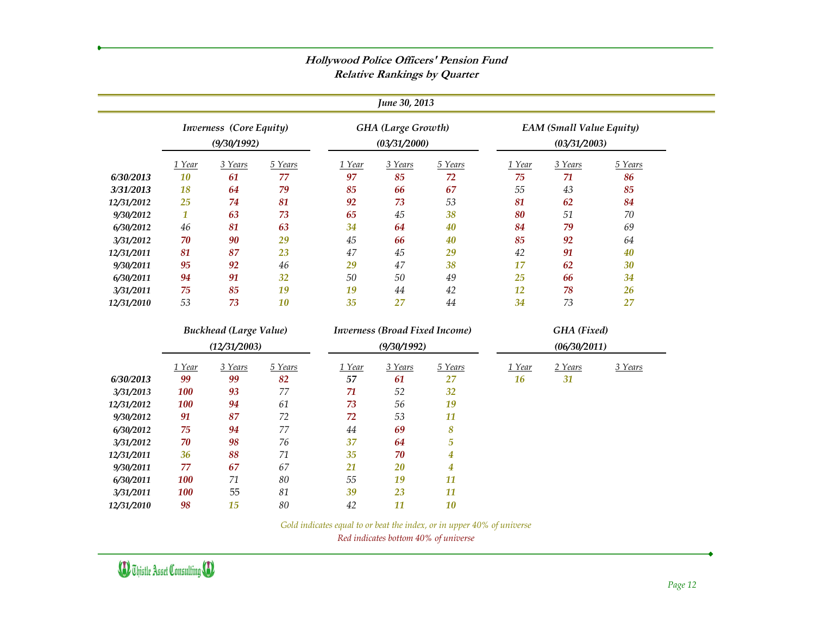|            | <b>Relative Rankings by Quarter</b> |                                        |         |        |                                           |                  |           |                                                 |         |  |
|------------|-------------------------------------|----------------------------------------|---------|--------|-------------------------------------------|------------------|-----------|-------------------------------------------------|---------|--|
|            |                                     |                                        |         |        | June 30, 2013                             |                  |           |                                                 |         |  |
|            |                                     | Inverness (Core Equity)<br>(9/30/1992) |         |        | <b>GHA</b> (Large Growth)<br>(03/31/2000) |                  |           | <b>EAM (Small Value Equity)</b><br>(03/31/2003) |         |  |
|            | 1 Year                              | 3 Years                                | 5 Years | 1 Year | 3 Years                                   | 5 Years          | 1 Year    | 3 Years                                         | 5 Years |  |
| 6/30/2013  | 10                                  | 61                                     | 77      | 97     | 85                                        | 72               | 75        | 71                                              | 86      |  |
| 3/31/2013  | 18                                  | 64                                     | 79      | 85     | 66                                        | 67               | 55        | 43                                              | 85      |  |
| 12/31/2012 | 25                                  | 74                                     | 81      | 92     | 73                                        | 53               | 81        | 62                                              | 84      |  |
| 9/30/2012  | $\boldsymbol{1}$                    | 63                                     | 73      | 65     | 45                                        | 38               | 80        | 51                                              | 70      |  |
| 6/30/2012  | $46\,$                              | 81                                     | 63      | 34     | 64                                        | 40               | 84        | 79                                              | 69      |  |
| 3/31/2012  | 70                                  | 90                                     | 29      | 45     | 66                                        | 40               | 85        | 92                                              | 64      |  |
| 12/31/2011 | 81                                  | 87                                     | 23      | 47     | 45                                        | 29               | 42        | 91                                              | 40      |  |
| 9/30/2011  | 95                                  | 92                                     | 46      | 29     | 47                                        | 38               | 17        | 62                                              | 30      |  |
| 6/30/2011  | 94                                  | 91                                     | 32      | 50     | 50                                        | 49               | 25        | 66                                              | 34      |  |
| 3/31/2011  | 75                                  | 85                                     | 19      | 19     | 44                                        | 42               | 12        | 78                                              | 26      |  |
| 12/31/2010 | 53                                  | 73                                     | 10      | 35     | 27                                        | 44               | 34        | 73                                              | 27      |  |
|            |                                     | <b>Buckhead (Large Value)</b>          |         |        | <b>Inverness (Broad Fixed Income)</b>     |                  |           | <b>GHA</b> (Fixed)                              |         |  |
|            |                                     | (12/31/2003)                           |         |        | (9/30/1992)                               |                  |           | (06/30/2011)                                    |         |  |
|            | 1 Year                              | 3 Years                                | 5 Years | 1 Year | 3 Years                                   | 5 Years          | 1 Year    | 2 Years                                         | 3 Years |  |
| 6/30/2013  | 99                                  | 99                                     | 82      | 57     | 61                                        | 27               | <b>16</b> | 31                                              |         |  |
| 3/31/2013  | <b>100</b>                          | 93                                     | 77      | 71     | 52                                        | 32               |           |                                                 |         |  |
| 12/31/2012 | <b>100</b>                          | 94                                     | 61      | 73     | 56                                        | 19               |           |                                                 |         |  |
| 9/30/2012  | 91                                  | 87                                     | 72      | 72     | 53                                        | 11               |           |                                                 |         |  |
| 6/30/2012  | 75                                  | 94                                     | 77      | 44     | 69                                        | 8                |           |                                                 |         |  |
| 3/31/2012  | 70                                  | 98                                     | 76      | 37     | 64                                        | $\overline{5}$   |           |                                                 |         |  |
| 12/31/2011 | 36                                  | 88                                     | 71      | 35     | 70                                        | $\boldsymbol{4}$ |           |                                                 |         |  |
| 9/30/2011  | 77                                  | 67                                     | 67      | 21     | 20                                        | $\boldsymbol{4}$ |           |                                                 |         |  |
| 6/30/2011  | <b>100</b>                          | 71                                     | 80      | 55     | 19                                        | 11               |           |                                                 |         |  |
| 3/31/2011  | <b>100</b>                          | 55                                     | 81      | 39     | 23                                        | 11               |           |                                                 |         |  |
| 12/31/2010 | 98                                  | 15                                     | 80      | 42     | 11                                        | 10               |           |                                                 |         |  |

**Hollywood Police Officers' Pension Fund**

*Gold indicates equal to or beat the index, or in upper 40% of universe*

*Red indicates bottom 40% of universe*

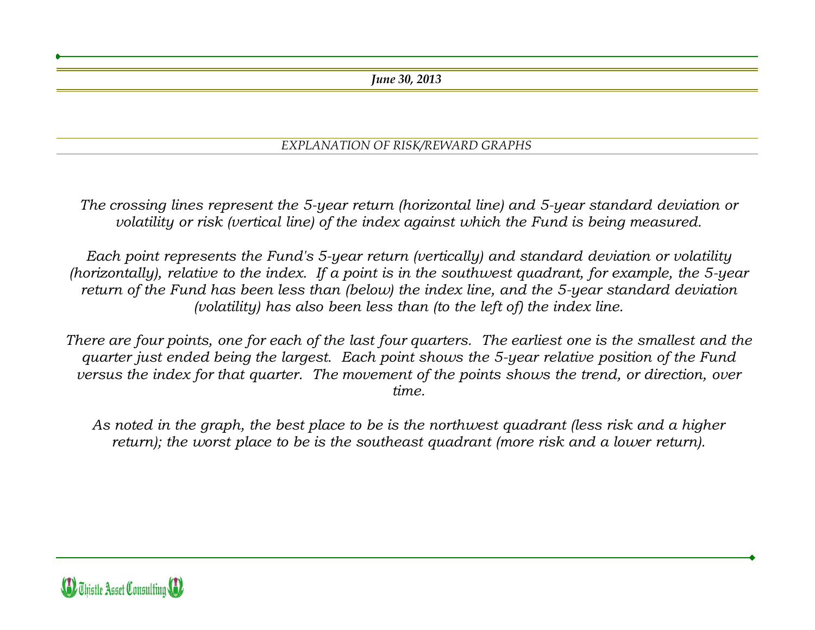*June 30, 2013*

#### *EXPLANATION OF RISK/REWARD GRAPHS*

*The crossing lines represent the 5-year return (horizontal line) and 5-year standard deviation or volatility or risk (vertical line) of the index against which the Fund is being measured.*

*Each point represents the Fund's 5-year return (vertically) and standard deviation or volatility (horizontally), relative to the index. If a point is in the southwest quadrant, for example, the 5-year return of the Fund has been less than (below) the index line, and the 5-year standard deviation (volatility) has also been less than (to the left of) the index line.*

*There are four points, one for each of the last four quarters. The earliest one is the smallest and the quarter just ended being the largest. Each point shows the 5-year relative position of the Fund versus the index for that quarter. The movement of the points shows the trend, or direction, over time.* 

*As noted in the graph, the best place to be is the northwest quadrant (less risk and a higher return); the worst place to be is the southeast quadrant (more risk and a lower return).*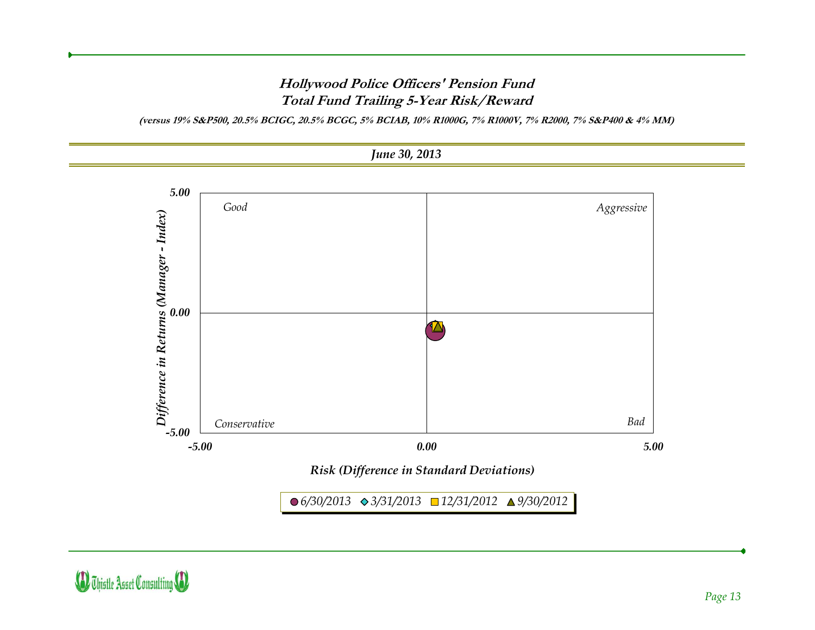#### **Hollywood Police Officers' Pension Fund Total Fund Trailing 5-Year Risk/Reward**

**(versus 19% S&P500, 20.5% BCIGC, 20.5% BCGC, 5% BCIAB, 10% R1000G, 7% R1000V, 7% R2000, 7% S&P400 & 4% MM)**



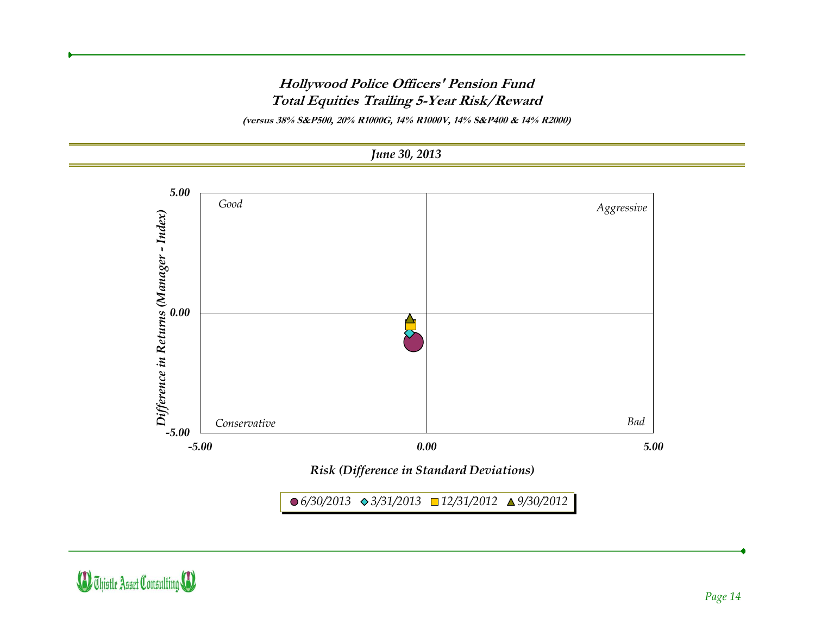#### **Hollywood Police Officers' Pension Fund Total Equities Trailing 5-Year Risk/Reward**

**(versus 38% S&P500, 20% R1000G, 14% R1000V, 14% S&P400 & 14% R2000)**





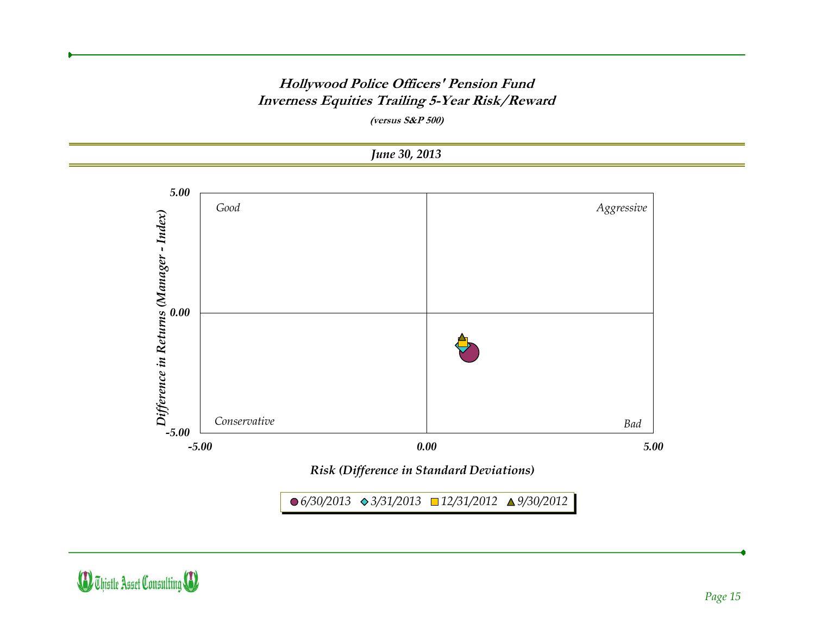#### **Hollywood Police Officers' Pension Fund Inverness Equities Trailing 5-Year Risk/Reward**

**(versus S&P 500)**



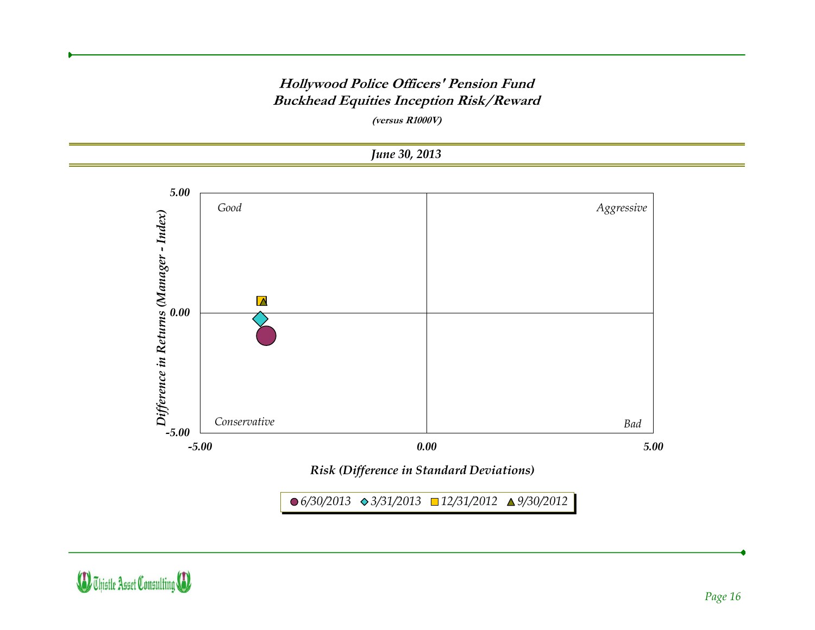#### **Hollywood Police Officers' Pension Fund Buckhead Equities Inception Risk/Reward**

**(versus R1000V)**



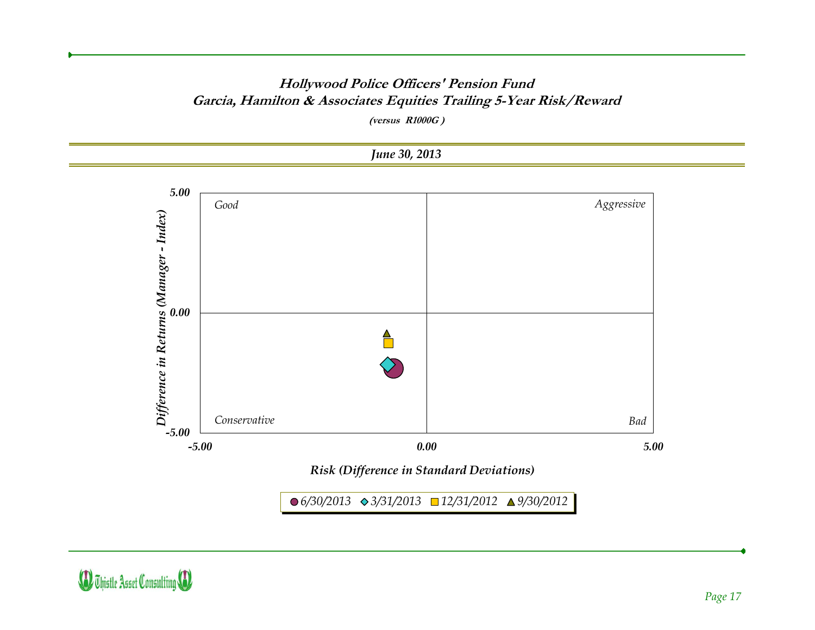#### **Hollywood Police Officers' Pension Fund Garcia, Hamilton & Associates Equities Trailing 5-Year Risk/Reward**

**(versus R1000G )**



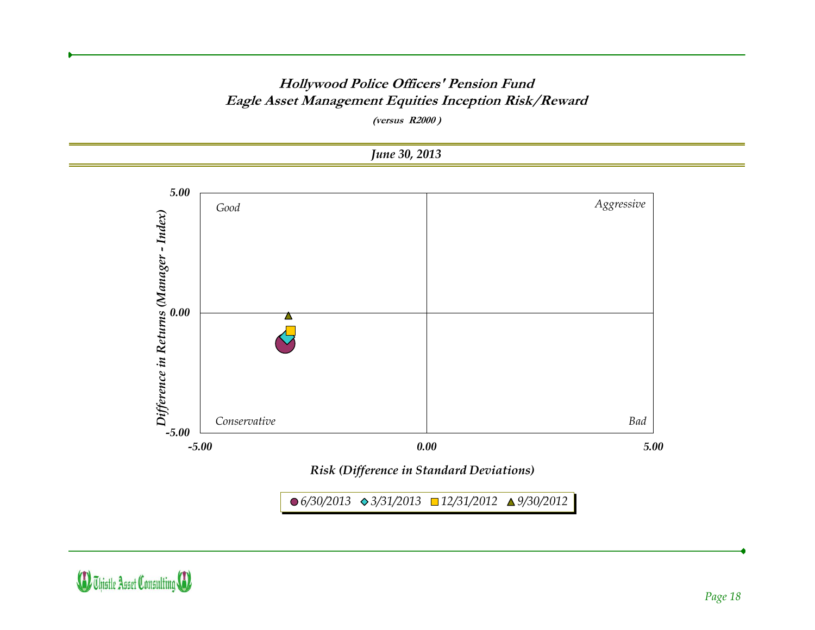#### **Hollywood Police Officers' Pension Fund Eagle Asset Management Equities Inception Risk/Reward**

**(versus R2000 )**



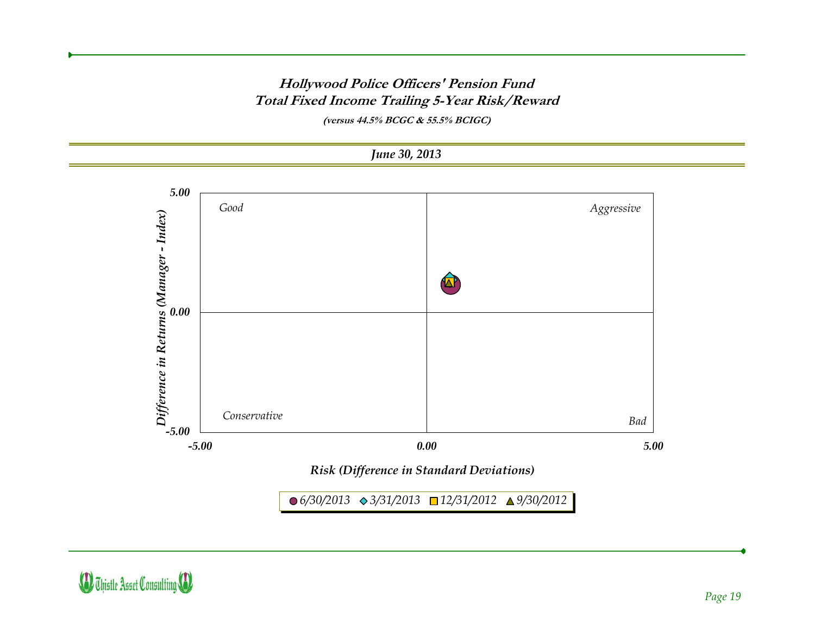#### **Hollywood Police Officers' Pension Fund Total Fixed Income Trailing 5-Year Risk/Reward**

**(versus 44.5% BCGC & 55.5% BCIGC)**



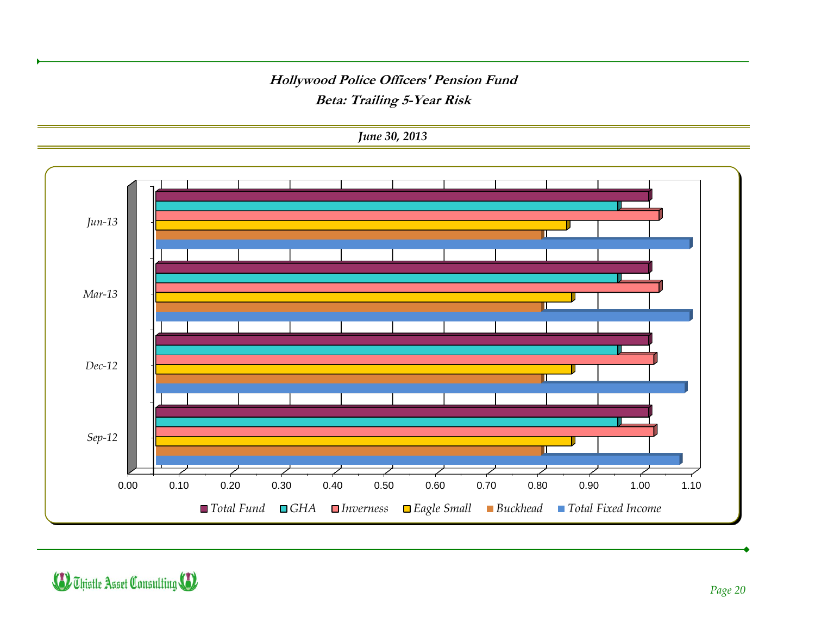#### **Hollywood Police Officers' Pension Fund Beta: Trailing 5-Year Risk**

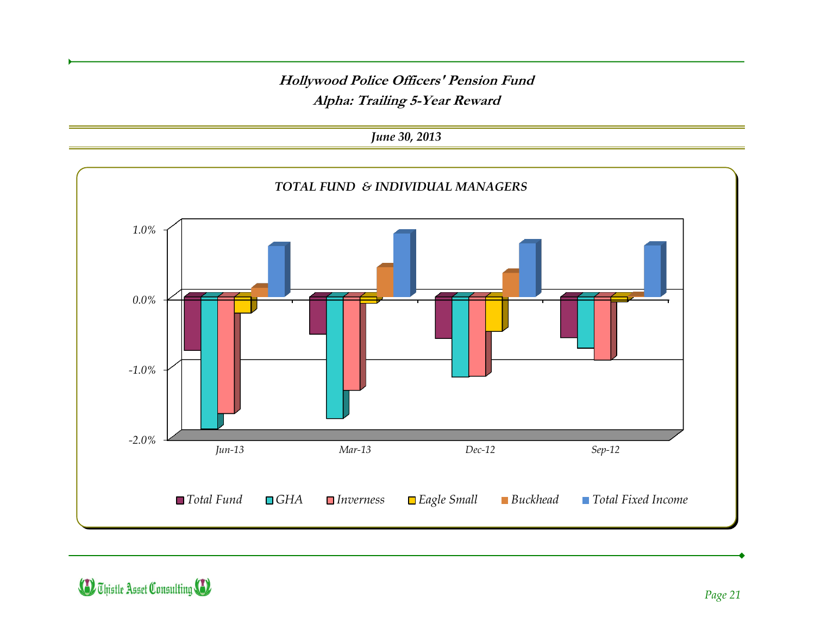**Hollywood Police Officers' Pension Fund Alpha: Trailing 5-Year Reward**

*June 30, 2013*



**D** Thistle Asset Consulting **D**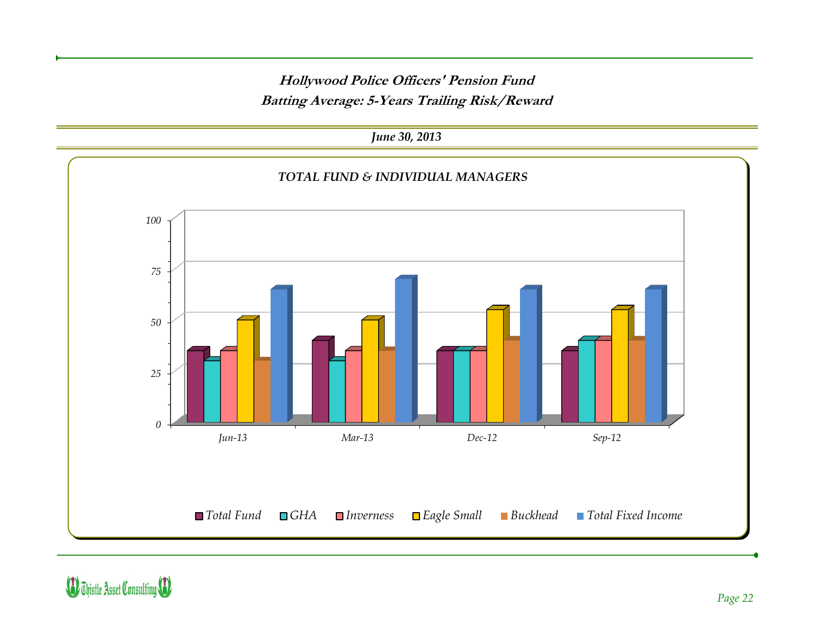**Hollywood Police Officers' Pension Fund Batting Average: 5-Years Trailing Risk/Reward**

*June 30, 2013*

*0 25 50 75 100 Jun-13 Mar-13 Dec-12 Sep-12 TOTAL FUND & INDIVIDUAL MANAGERS Total Fund GHA Inverness Eagle Small Buckhead Total Fixed Income*

**D** Thistle Asset Consulting (1)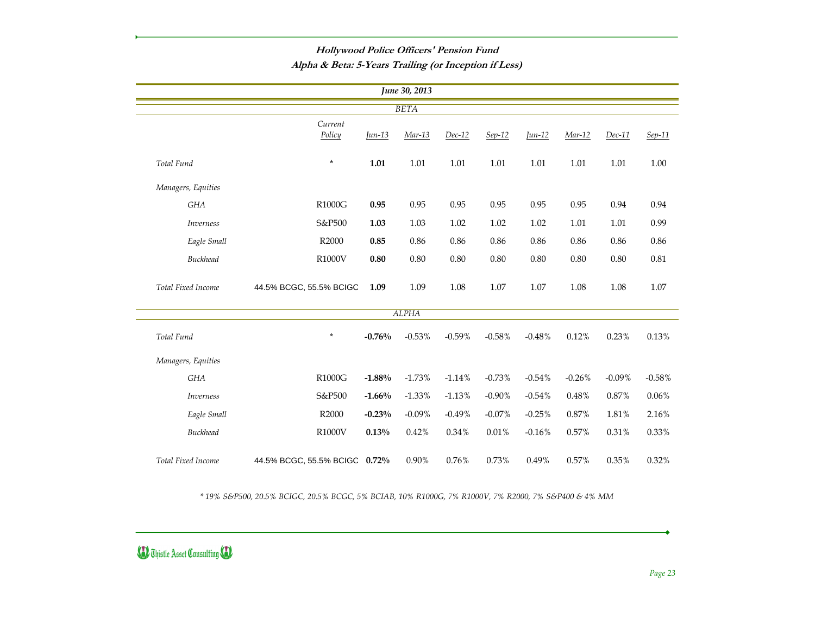### **Hollywood Police Officers' Pension Fund**

**Alpha & Beta: 5-Years Trailing (or Inception if Less)**

|                    | June 30, 2013                 |            |              |          |           |            |          |          |          |
|--------------------|-------------------------------|------------|--------------|----------|-----------|------------|----------|----------|----------|
|                    |                               |            | <b>BETA</b>  |          |           |            |          |          |          |
|                    | Current<br>Policy             | $\mu$ n-13 | Mar-13       | $Dec-12$ | $Sep-12$  | $\mu$ n-12 | Mar-12   | $Dec-11$ | Sep-11   |
| Total Fund         | $\star$                       | 1.01       | 1.01         | 1.01     | 1.01      | 1.01       | 1.01     | 1.01     | 1.00     |
| Managers, Equities |                               |            |              |          |           |            |          |          |          |
| GHA                | R1000G                        | 0.95       | 0.95         | 0.95     | 0.95      | 0.95       | 0.95     | 0.94     | 0.94     |
| <b>Inverness</b>   | S&P500                        | 1.03       | 1.03         | 1.02     | 1.02      | 1.02       | 1.01     | 1.01     | 0.99     |
| Eagle Small        | R2000                         | 0.85       | 0.86         | 0.86     | 0.86      | 0.86       | 0.86     | 0.86     | 0.86     |
| <b>Buckhead</b>    | R1000V                        | 0.80       | $0.80\,$     | 0.80     | 0.80      | 0.80       | 0.80     | 0.80     | 0.81     |
| Total Fixed Income | 44.5% BCGC, 55.5% BCIGC       | 1.09       | 1.09         | 1.08     | 1.07      | 1.07       | 1.08     | 1.08     | $1.07\,$ |
|                    |                               |            | <b>ALPHA</b> |          |           |            |          |          |          |
| Total Fund         | $\star$                       | $-0.76%$   | $-0.53%$     | $-0.59%$ | $-0.58%$  | $-0.48%$   | 0.12%    | 0.23%    | 0.13%    |
| Managers, Equities |                               |            |              |          |           |            |          |          |          |
| GHA                | R1000G                        | $-1.88%$   | $-1.73%$     | $-1.14%$ | $-0.73%$  | $-0.54%$   | $-0.26%$ | $-0.09%$ | $-0.58%$ |
| <b>Inverness</b>   | S&P500                        | $-1.66%$   | $-1.33\%$    | $-1.13%$ | $-0.90\%$ | $-0.54%$   | 0.48%    | 0.87%    | 0.06%    |
| Eagle Small        | R2000                         | $-0.23%$   | $-0.09\%$    | $-0.49%$ | $-0.07\%$ | $-0.25%$   | $0.87\%$ | 1.81%    | 2.16%    |
| <b>Buckhead</b>    | R1000V                        | 0.13%      | 0.42%        | 0.34%    | 0.01%     | $-0.16%$   | 0.57%    | 0.31%    | 0.33%    |
| Total Fixed Income | 44.5% BCGC, 55.5% BCIGC 0.72% |            | 0.90%        | 0.76%    | 0.73%     | 0.49%      | 0.57%    | 0.35%    | 0.32%    |

*\* 19% S&P500, 20.5% BCIGC, 20.5% BCGC, 5% BCIAB, 10% R1000G, 7% R1000V, 7% R2000, 7% S&P400 & 4% MM*

### (D) Thistle Asset Consulting (D)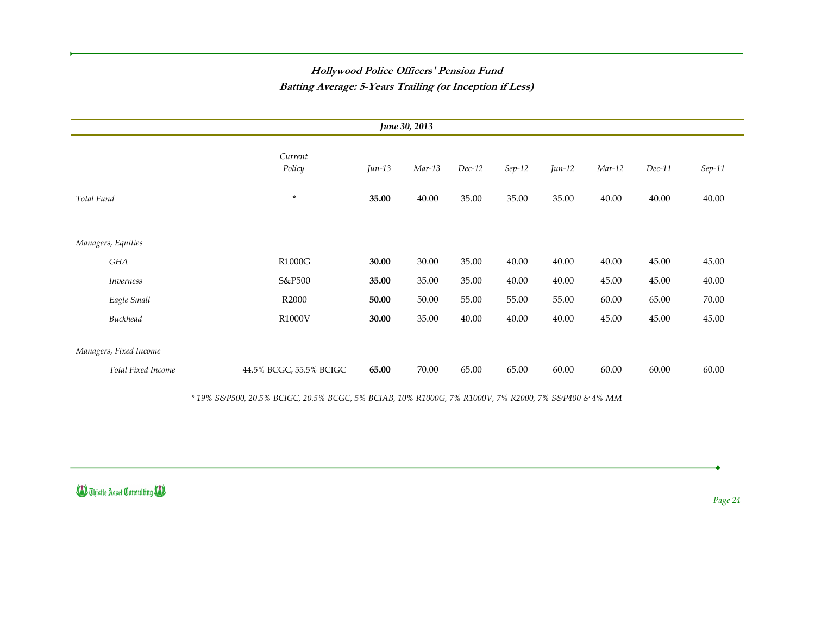### **Hollywood Police Officers' Pension Fund Batting Average: 5-Years Trailing (or Inception if Less)**

| June 30, 2013          |                         |            |        |          |          |            |          |          |        |
|------------------------|-------------------------|------------|--------|----------|----------|------------|----------|----------|--------|
|                        | Current<br>Policy       | $\mu$ n-13 | Mar-13 | $Dec-12$ | $Sep-12$ | $\mu$ n-12 | $Mar-12$ | $Dec-11$ | Sep-11 |
| Total Fund             | $\star$                 | 35.00      | 40.00  | 35.00    | 35.00    | 35.00      | 40.00    | 40.00    | 40.00  |
| Managers, Equities     |                         |            |        |          |          |            |          |          |        |
| GHA                    | <b>R1000G</b>           | 30.00      | 30.00  | 35.00    | 40.00    | 40.00      | 40.00    | 45.00    | 45.00  |
| Inverness              | S&P500                  | 35.00      | 35.00  | 35.00    | 40.00    | 40.00      | 45.00    | 45.00    | 40.00  |
| Eagle Small            | R2000                   | 50.00      | 50.00  | 55.00    | 55.00    | 55.00      | 60.00    | 65.00    | 70.00  |
| <b>Buckhead</b>        | R1000V                  | 30.00      | 35.00  | 40.00    | 40.00    | 40.00      | 45.00    | 45.00    | 45.00  |
| Managers, Fixed Income |                         |            |        |          |          |            |          |          |        |
| Total Fixed Income     | 44.5% BCGC, 55.5% BCIGC | 65.00      | 70.00  | 65.00    | 65.00    | 60.00      | 60.00    | 60.00    | 60.00  |

*\* 19% S&P500, 20.5% BCIGC, 20.5% BCGC, 5% BCIAB, 10% R1000G, 7% R1000V, 7% R2000, 7% S&P400 & 4% MM*

**D** Thistle Asset Consulting **(1)** 

*Page 24*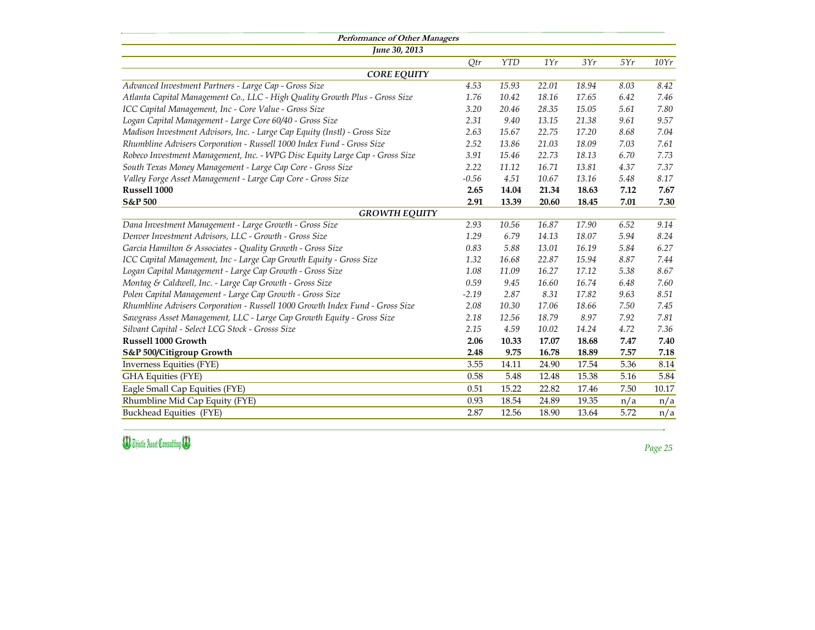| Qtr     | YTD   | 1Yr   | 3Yr   | 5Yr  | 10Yr            |
|---------|-------|-------|-------|------|-----------------|
|         |       |       |       |      |                 |
| 4.53    | 15.93 | 22.01 | 18.94 | 8.03 | 8.42            |
| 1.76    | 10.42 | 18.16 | 17.65 | 6.42 | 7.46            |
| 3.20    | 20.46 | 28.35 | 15.05 | 5.61 | 7.80            |
| 2.31    | 9.40  | 13.15 | 21.38 | 9.61 | 9.57            |
| 2.63    | 15.67 | 22.75 | 17.20 | 8.68 | 7.04            |
| 2.52    | 13.86 | 21.03 | 18.09 | 7.03 | 7.61            |
| 3.91    | 15.46 | 22.73 | 18.13 | 6.70 | 7.73            |
| 2.22    | 11.12 | 16.71 | 13.81 | 4.37 | 7.37            |
| $-0.56$ | 4.51  | 10.67 | 13.16 | 5.48 | 8.17            |
| 2.65    | 14.04 | 21.34 | 18.63 | 7.12 | 7.67            |
| 2.91    | 13.39 | 20.60 | 18.45 | 7.01 | 7.30            |
| 2.93    | 10.56 | 16.87 | 17.90 | 6.52 | 9.14            |
| 1.29    | 6.79  | 14.13 | 18.07 | 5.94 | 8.24            |
| 0.83    | 5.88  | 13.01 | 16.19 | 5.84 | 6.27            |
| 1.32    | 16.68 | 22.87 | 15.94 | 8.87 | 7.44            |
| 1.08    | 11.09 | 16.27 | 17.12 | 5.38 | 8.67            |
| 0.59    | 9.45  | 16.60 | 16.74 | 6.48 | 7.60            |
| $-2.19$ | 2.87  | 8.31  | 17.82 | 9.63 | 8.51            |
| 2.08    | 10.30 | 17.06 | 18.66 | 7.50 | 7.45            |
| 2.18    | 12.56 | 18.79 | 8.97  | 7.92 | 7.81            |
| 2.15    | 4.59  | 10.02 | 14.24 | 4.72 | 7.36            |
| 2.06    | 10.33 | 17.07 | 18.68 | 7.47 | 7.40            |
| 2.48    | 9.75  | 16.78 | 18.89 | 7.57 | 7.18            |
| 3.55    | 14.11 | 24.90 | 17.54 | 5.36 | 8.14            |
| 0.58    | 5.48  | 12.48 | 15.38 | 5.16 | 5.84            |
| 0.51    | 15.22 | 22.82 | 17.46 | 7.50 | 10.17           |
| 0.93    | 18.54 | 24.89 | 19.35 | n/a  | $n/\varepsilon$ |
| 2.87    | 12.56 | 18.90 | 13.64 | 5.72 | $n/\varepsilon$ |
|         |       |       |       |      |                 |

*Advanced Investment Partners - Large Cap - Gross Size 4.53 15.93 22.01 18.94 8.03 8.42 Atlanta Capital Management Co., LLC - High Quality Growth Plus - Gross Size 1.76 10.42 18.16 17.65 6.42 7.46 ICC Capital Management, Inc - Core Value - Gross Size 3.20 20.46 28.35 15.05 5.61 7.80 Logan Capital Management - Large Core 60/40 - Gross Size 2.31 9.40 13.15 21.38 9.61 9.57 Madison Investment Advisors, Inc. - Large Cap Equity (Instl) - Gross Size 2.63 15.67 22.75 17.20 8.68 7.04 Rhumbline Advisers Corporation - Russell 1000 Index Fund - Gross Size 2.52 13.86 21.03 18.09 7.03 7.61 Robeco Investment Management, Inc. - WPG Disc Equity Large Cap - Gross Size 3.91 15.46 22.73 18.13 6.70 7.73 South Texas Money Management - Large Cap Core - Gross Size Valley Forge Asset Management - Large Cap Core - Gross Size* **Russell 1000 2.65 14.04 21.34 18.63 7.12 7.67 S&P 500 2.91 13.39 20.60 18.45 7.01 7.30**

*Dana Investment Management - Large Growth - Gross Size 2.93 10.56 16.87 17.90 6.52 9.14 Denver Investment Advisors, LLC - Growth - Gross Size 1.29 6.79 14.13 18.07 5.94 8.24 Garcia Hamilton & Associates - Quality Growth - Gross Size ICC Capital Management, Inc - Large Cap Growth Equity - Gross Size 1.32 16.68 22.87 15.94 8.87 7.44 Logan Capital Management - Large Cap Growth - Gross Size Montag & Caldwell, Inc. - Large Cap Growth - Gross Size 0.59 9.45 16.60 16.74 6.48 7.60 Polen Capital Management - Large Cap Growth - Gross Size -2.19 2.87 8.31 17.82 9.63 8.51 Rhumbline Advisers Corporation - Russell 1000 Growth Index Fund - Gross Size 2.08 10.30 17.06 18.66 7.50 7.45 Sawgrass Asset Management, LLC - Large Cap Growth Equity - Gross Size 2.18 12.56 18.79 8.97 7.92 7.81 Silvant Capital - Select LCG Stock - Grosss Size 2.15 4.59 10.02 14.24 4.72 7.36* **Russell 1000 Growth 2.06 10.33 17.07 18.68 7.47 7.40 S&P 500/Citigroup Growth 2.48 9.75 16.78 18.89 7.57 7.18** Inverness Equities (FYE) 3.55 14.11 24.90 17.54 5.36 8.14 GHA Equities (FYE) 6.84 12.48 15.38 5.16 5.84 Eagle Small Cap Equities (FYE) Rhumbline Mid Cap Equity (FYE) 18.54 0.93 18.54 24.89 19.35 n/a n/a Buckhead Equities (FYE) 2.87 12.56 18.90 13.64 5.72 n/a

**(D)** Thistle Asset Consulting **(D)** 

*Page 25*

## *CORE EQUITY*

### *GROWTH EQUITY*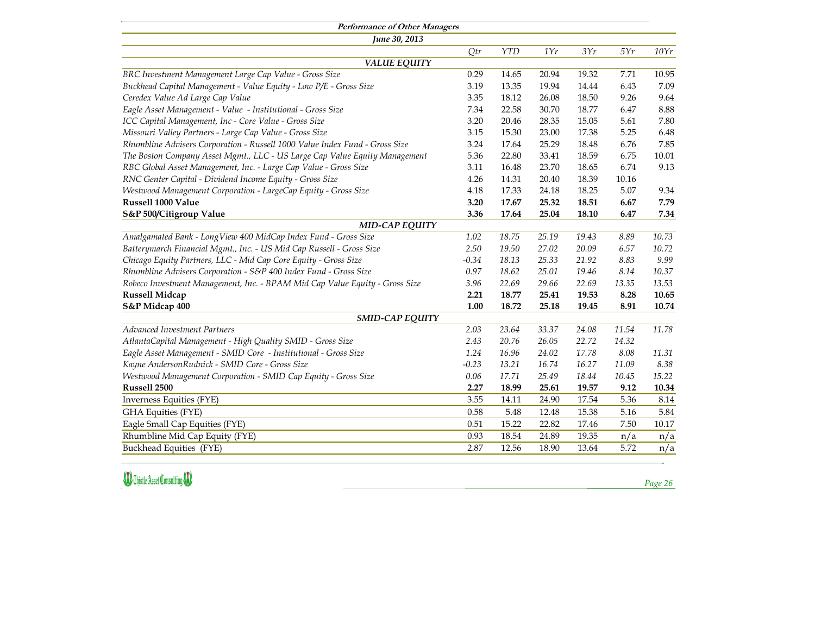| Periormance of Uther Managers<br><b>June 30, 2013</b>                       |               |       |                 |       |       |       |
|-----------------------------------------------------------------------------|---------------|-------|-----------------|-------|-------|-------|
|                                                                             | Qtr           | YTD   | 1Yr             | 3Yr   | 5Yr   | 10Yr  |
| <b>VALUE EQUITY</b>                                                         |               |       |                 |       |       |       |
| BRC Investment Management Large Cap Value - Gross Size                      | 0.29          | 14.65 | 20.94           | 19.32 | 7.71  | 10.95 |
| Buckhead Capital Management - Value Equity - Low P/E - Gross Size           | 3.19          | 13.35 | 19.94           | 14.44 | 6.43  | 7.09  |
| Ceredex Value Ad Large Cap Value                                            | 3.35          | 18.12 | 26.08           | 18.50 | 9.26  | 9.64  |
| Eagle Asset Management - Value - Institutional - Gross Size                 | 7.34          | 22.58 | 30.70           | 18.77 | 6.47  | 8.88  |
| ICC Capital Management, Inc - Core Value - Gross Size                       | 3.20          | 20.46 | 28.35           | 15.05 | 5.61  | 7.80  |
| Missouri Valley Partners - Large Cap Value - Gross Size                     | 3.15          | 15.30 | 23.00           | 17.38 | 5.25  | 6.48  |
| Rhumbline Advisers Corporation - Russell 1000 Value Index Fund - Gross Size | 3.24          | 17.64 | 25.29           | 18.48 | 6.76  | 7.85  |
| The Boston Company Asset Mgmt., LLC - US Large Cap Value Equity Management  | 5.36          | 22.80 | 33.41           | 18.59 | 6.75  | 10.01 |
| RBC Global Asset Management, Inc. - Large Cap Value - Gross Size            | 3.11          | 16.48 | 23.70           | 18.65 | 6.74  | 9.13  |
| RNC Genter Capital - Dividend Income Equity - Gross Size                    | 4.26          | 14.31 | 20.40           | 18.39 | 10.16 |       |
| Westwood Management Corporation - LargeCap Equity - Gross Size              | 4.18          | 17.33 | 24.18           | 18.25 | 5.07  | 9.34  |
| <b>Russell 1000 Value</b>                                                   | 3.20          | 17.67 | 25.32           | 18.51 | 6.67  | 7.79  |
| <b>S&amp;P 500/Citigroup Value</b>                                          | 3.36          | 17.64 | 25.04           | 18.10 | 6.47  | 7.34  |
| <b>MID-CAP EQUITY</b>                                                       |               |       |                 |       |       |       |
| Amalgamated Bank - LongView 400 MidCap Index Fund - Gross Size              | 1.02          | 18.75 | 25.19           | 19.43 | 8.89  | 10.73 |
| Batterymarch Financial Mgmt., Inc. - US Mid Cap Russell - Gross Size        | 2.50          | 19.50 | 27.02           | 20.09 | 6.57  | 10.72 |
| Chicago Equity Partners, LLC - Mid Cap Core Equity - Gross Size             | $-0.34$       | 18.13 | 25.33           | 21.92 | 8.83  | 9.99  |
| Rhumbline Advisers Corporation - S&P 400 Index Fund - Gross Size            | 0.97          | 18.62 | 25.01           | 19.46 | 8.14  | 10.37 |
| Robeco Investment Management, Inc. - BPAM Mid Cap Value Equity - Gross Size | 3.96          | 22.69 | 29.66           | 22.69 | 13.35 | 13.53 |
| <b>Russell Midcap</b>                                                       | 2.21          | 18.77 | 25.41           | 19.53 | 8.28  | 10.65 |
| <b>S&amp;P Midcap 400</b>                                                   | 1.00          | 18.72 | 25.18           | 19.45 | 8.91  | 10.74 |
| <b>SMID-CAP EQUITY</b>                                                      |               |       |                 |       |       |       |
| <i>Advanced Investment Partners</i>                                         | 2.03          | 23.64 | 33.37           | 24.08 | 11.54 | 11.78 |
| AtlantaCapital Management - High Quality SMID - Gross Size                  | 2.43          | 20.76 | 26.05           | 22.72 | 14.32 |       |
| Eagle Asset Management - SMID Core - Institutional - Gross Size             | 1.24          | 16.96 | 24.02           | 17.78 | 8.08  | 11.31 |
| Kayne AndersonRudnick - SMID Core - Gross Size                              | $-0.23$       | 13.21 | 16.74           | 16.27 | 11.09 | 8.38  |
| Westwood Management Corporation - SMID Cap Equity - Gross Size              | 0.06          | 17.71 | 25.49           | 18.44 | 10.45 | 15.22 |
| <b>Russell 2500</b>                                                         | 2.27          | 18.99 | 25.61           | 19.57 | 9.12  | 10.34 |
| Inverness Equities (FYE)                                                    | 3.55          | 14.11 | 24.90           | 17.54 | 5.36  | 8.14  |
| <b>GHA Equities (FYE)</b>                                                   | 0.58          | 5.48  | 12.48           | 15.38 | 5.16  | 5.84  |
| Eagle Small Cap Equities (FYE)                                              | 0.51          | 15.22 | 22.82           | 17.46 | 7.50  | 10.17 |
| Rhumbline Mid Cap Equity (FYE)                                              | 0.93          | 18.54 | 24.89           | 19.35 | n/a   | n/a   |
| $D_{\text{total}}$ 1.1. $\sim$ 1.1. $\sim$ 1.1.<br>(T1/T)                   | $\cap$ $\cap$ | 10F   | 10 <sub>0</sub> | 10(1  | F.70  |       |

Inverness Equities (FYE). GHA Equities (FYE). Eagle Small Cap Equities (FYE) Rhumbline Mid Cap Equity (FYE) Buckhead Equities (FYE) 2.87 12.56 18.90 13.64 5.72 n/a

**D** Thistle Asset Consulting **B** 

*Page 26*

| $\bigl( r \bigr)$             |  |
|-------------------------------|--|
|                               |  |
| 95                            |  |
| 09                            |  |
| 64                            |  |
| 88                            |  |
| 80                            |  |
| 48                            |  |
| 85                            |  |
| $01\,$                        |  |
| 13                            |  |
|                               |  |
| 34                            |  |
| 79                            |  |
| 34                            |  |
|                               |  |
| 73                            |  |
| $7^\circ$                     |  |
| 99                            |  |
| 37                            |  |
| 53                            |  |
| 65                            |  |
| 74                            |  |
|                               |  |
| 78                            |  |
|                               |  |
| 31                            |  |
| 38                            |  |
| $\boldsymbol{\Sigma}$         |  |
| 34                            |  |
|                               |  |
| $14\,$                        |  |
| 84                            |  |
| $\mathbf 1$<br>$\overline{'}$ |  |
| Í                             |  |

## *VALUE EQUITY*

## *MID-CAP EQUITY*

## *SMID-CAP EQUITY*

**Performance of Other Managers** *June 30, 2013*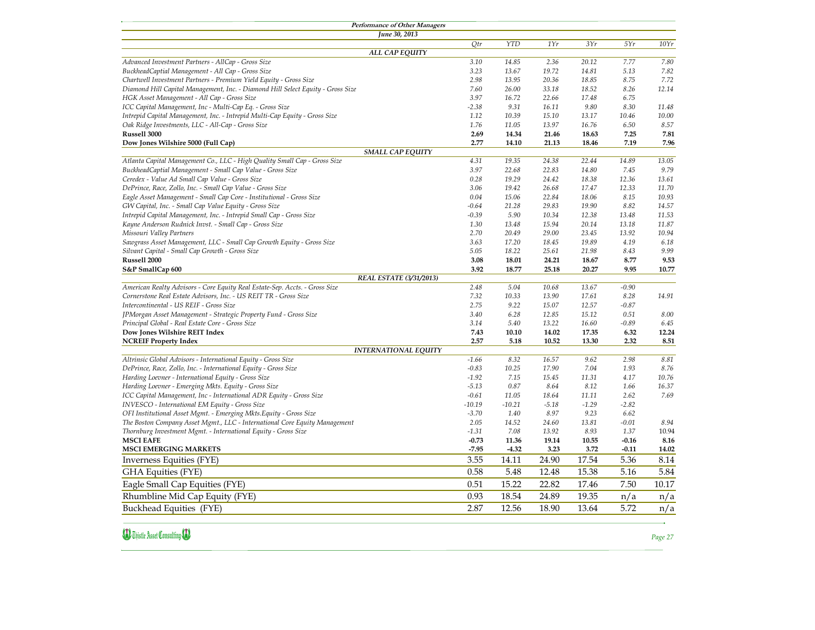## **Dow Jones Wilshire 5000 (Full Cap)**

| <b>Performance of Other Managers</b>                                                                          |          |          |         |         |         |       |
|---------------------------------------------------------------------------------------------------------------|----------|----------|---------|---------|---------|-------|
| <b>June 30, 2013</b>                                                                                          |          |          |         |         |         |       |
|                                                                                                               | Qtr      | YTD      | 1Yr     | 3Yr     | 5Yr     | 10Yr  |
| ALL CAP EQUITY                                                                                                |          |          |         |         |         |       |
| Advanced Investment Partners - AllCap - Gross Size                                                            | 3.10     | 14.85    | 2.36    | 20.12   | 7.77    | 7.80  |
| BuckheadCaptial Management - All Cap - Gross Size                                                             | 3.23     | 13.67    | 19.72   | 14.81   | 5.13    | 7.82  |
| Chartwell Investment Partners - Premium Yield Equity - Gross Size                                             | 2.98     | 13.95    | 20.36   | 18.85   | 8.75    | 7.72  |
| Diamond Hill Capital Management, Inc. - Diamond Hill Select Equity - Gross Size                               | 7.60     | 26.00    | 33.18   | 18.52   | 8.26    | 12.14 |
| HGK Asset Management - All Cap - Gross Size                                                                   | 3.97     | 16.72    | 22.66   | 17.48   | 6.75    |       |
| ICC Capital Management, Inc - Multi-Cap Eq. - Gross Size                                                      | $-2.38$  | 9.31     | 16.11   | 9.80    | 8.30    | 11.48 |
| Intrepid Capital Management, Inc. - Intrepid Multi-Cap Equity - Gross Size                                    | 1.12     | 10.39    | 15.10   | 13.17   | 10.46   | 10.00 |
| Oak Ridge Investments, LLC - All-Cap - Gross Size                                                             | 1.76     | 11.05    | 13.97   | 16.76   | 6.50    | 8.57  |
| <b>Russell 3000</b>                                                                                           | 2.69     | 14.34    | 21.46   | 18.63   | 7.25    | 7.81  |
| <b>Dow Jones Wilshire 5000 (Full Cap)</b>                                                                     | 2.77     | 14.10    | 21.13   | 18.46   | 7.19    | 7.96  |
| <b>SMALL CAP EQUITY</b>                                                                                       |          |          |         |         |         |       |
| Atlanta Capital Management Co., LLC - High Quality Small Cap - Gross Size                                     | 4.31     | 19.35    | 24.38   | 22.44   | 14.89   | 13.05 |
| BuckheadCaptial Management - Small Cap Value - Gross Size                                                     | 3.97     | 22.68    | 22.83   | 14.80   | 7.45    | 9.79  |
| Ceredex - Value Ad Small Cap Value - Gross Size                                                               | 0.28     | 19.29    | 24.42   | 18.38   | 12.36   | 13.61 |
| DePrince, Race, Zollo, Inc. - Small Cap Value - Gross Size                                                    | 3.06     | 19.42    | 26.68   | 17.47   | 12.33   | 11.70 |
| Eagle Asset Management - Small Cap Core - Institutional - Gross Size                                          | 0.04     | 15.06    | 22.84   | 18.06   | 8.15    | 10.93 |
| GW Capital, Inc. - Small Cap Value Equity - Gross Size                                                        | $-0.64$  | 21.28    | 29.83   | 19.90   | 8.82    | 14.57 |
| Intrepid Capital Management, Inc. - Intrepid Small Cap - Gross Size                                           | $-0.39$  | 5.90     | 10.34   | 12.38   | 13.48   | 11.53 |
| Kayne Anderson Rudnick Invst. - Small Cap - Gross Size                                                        | 1.30     | 13.48    | 15.94   | 20.14   | 13.18   | 11.87 |
| Missouri Valley Partners                                                                                      | 2.70     | 20.49    | 29.00   | 23.45   | 13.92   | 10.94 |
|                                                                                                               |          | 17.20    | 18.45   | 19.89   | 4.19    | 6.18  |
| Sawgrass Asset Management, LLC - Small Cap Growth Equity - Gross Size                                         | 3.63     |          |         |         |         |       |
| Silvant Capital - Small Cap Growth - Gross Size                                                               | 5.05     | 18.22    | 25.61   | 21.98   | 8.43    | 9.99  |
| <b>Russell 2000</b>                                                                                           | 3.08     | 18.01    | 24.21   | 18.67   | 8.77    | 9.53  |
| <b>S&amp;P SmallCap 600</b>                                                                                   | 3.92     | 18.77    | 25.18   | 20.27   | 9.95    | 10.77 |
| <b>REAL ESTATE (3/31/2013)</b><br>American Realty Advisors - Core Equity Real Estate-Sep. Accts. - Gross Size | 2.48     | 5.04     | 10.68   | 13.67   | $-0.90$ |       |
| Cornerstone Real Estate Advisors, Inc. - US REIT TR - Gross Size                                              | 7.32     | 10.33    | 13.90   | 17.61   | 8.28    | 14.91 |
| Intercontinental - US REIF - Gross Size                                                                       | 2.75     | 9.22     | 15.07   | 12.57   | $-0.87$ |       |
|                                                                                                               |          |          |         |         |         |       |
| JPMorgan Asset Management - Strategic Property Fund - Gross Size                                              | 3.40     | 6.28     | 12.85   | 15.12   | 0.51    | 8.00  |
| Principal Global - Real Estate Core - Gross Size                                                              | 3.14     | 5.40     | 13.22   | 16.60   | $-0.89$ | 6.45  |
| <b>Dow Jones Wilshire REIT Index</b>                                                                          | 7.43     | 10.10    | 14.02   | 17.35   | 6.32    | 12.24 |
| <b>NCREIF Property Index</b>                                                                                  | 2.57     | 5.18     | 10.52   | 13.30   | 2.32    | 8.51  |
| <b>INTERNATIONAL EQUITY</b>                                                                                   |          |          |         |         |         |       |
| Altrinsic Global Advisors - International Equity - Gross Size                                                 | $-1.66$  | 8.32     | 16.57   | 9.62    | 2.98    | 8.81  |
| DePrince, Race, Zollo, Inc. - International Equity - Gross Size                                               | $-0.83$  | 10.25    | 17.90   | 7.04    | 1.93    | 8.76  |
| Harding Loevner - International Equity - Gross Size                                                           | $-1.92$  | 7.15     | 15.45   | 11.31   | 4.17    | 10.76 |
| Harding Loevner - Emerging Mkts. Equity - Gross Size                                                          | $-5.13$  | 0.87     | 8.64    | 8.12    | 1.66    | 16.37 |
| ICC Capital Management, Inc - International ADR Equity - Gross Size                                           | $-0.61$  | 11.05    | 18.64   | 11.11   | 2.62    | 7.69  |
| INVESCO - International EM Equity - Gross Size                                                                | $-10.19$ | $-10.21$ | $-5.18$ | $-1.29$ | $-2.82$ |       |
| OFI Institutional Asset Mgmt. - Emerging Mkts. Equity - Gross Size                                            | $-3.70$  | 1.40     | 8.97    | 9.23    | 6.62    |       |
| The Boston Company Asset Mgmt., LLC - International Core Equity Management                                    | 2.05     | 14.52    | 24.60   | 13.81   | $-0.01$ | 8.94  |
| Thornburg Investment Mgmt. - International Equity - Gross Size                                                | $-1.31$  | 7.08     | 13.92   | 8.93    | 1.37    | 10.94 |
| <b>MSCI EAFE</b>                                                                                              | $-0.73$  | 11.36    | 19.14   | 10.55   | $-0.16$ | 8.16  |
| <b>MSCI EMERGING MARKETS</b>                                                                                  | $-7.95$  | $-4.32$  | 3.23    | 3.72    | $-0.11$ | 14.02 |
| Inverness Equities (FYE)                                                                                      | 3.55     | 14.11    | 24.90   | 17.54   | 5.36    | 8.14  |
| <b>GHA Equities (FYE)</b>                                                                                     | 0.58     | 5.48     | 12.48   | 15.38   | 5.16    | 5.84  |
| Eagle Small Cap Equities (FYE)                                                                                | 0.51     | 15.22    | 22.82   | 17.46   | 7.50    | 10.17 |
|                                                                                                               |          |          |         |         |         |       |
| Rhumbline Mid Cap Equity (FYE)                                                                                | 0.93     | 18.54    | 24.89   | 19.35   | n/a     | n/a   |
| <b>Buckhead Equities (FYE)</b>                                                                                | 2.87     | 12.56    | 18.90   | 13.64   | 5.72    | n/a   |

**B)** Thistle Asset Consulting (B)

*Page 27*